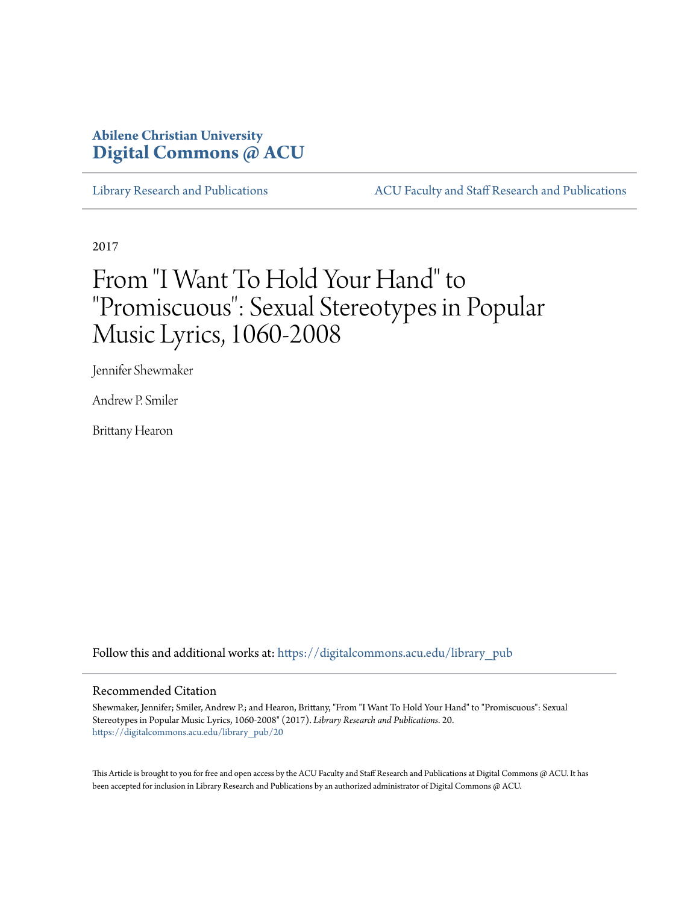# **Abilene Christian University [Digital Commons @ ACU](https://digitalcommons.acu.edu?utm_source=digitalcommons.acu.edu%2Flibrary_pub%2F20&utm_medium=PDF&utm_campaign=PDFCoverPages)**

[Library Research and Publications](https://digitalcommons.acu.edu/library_pub?utm_source=digitalcommons.acu.edu%2Flibrary_pub%2F20&utm_medium=PDF&utm_campaign=PDFCoverPages) [ACU Faculty and Staff Research and Publications](https://digitalcommons.acu.edu/fac_staff_pubs?utm_source=digitalcommons.acu.edu%2Flibrary_pub%2F20&utm_medium=PDF&utm_campaign=PDFCoverPages)

2017

# From "I Want To Hold Your Hand" to "Promiscuous": Sexual Stereotypes in Popular Music Lyrics, 1060-2008

Jennifer Shewmaker

Andrew P. Smiler

Brittany Hearon

Follow this and additional works at: [https://digitalcommons.acu.edu/library\\_pub](https://digitalcommons.acu.edu/library_pub?utm_source=digitalcommons.acu.edu%2Flibrary_pub%2F20&utm_medium=PDF&utm_campaign=PDFCoverPages)

#### Recommended Citation

Shewmaker, Jennifer; Smiler, Andrew P.; and Hearon, Brittany, "From "I Want To Hold Your Hand" to "Promiscuous": Sexual Stereotypes in Popular Music Lyrics, 1060-2008" (2017). *Library Research and Publications*. 20. [https://digitalcommons.acu.edu/library\\_pub/20](https://digitalcommons.acu.edu/library_pub/20?utm_source=digitalcommons.acu.edu%2Flibrary_pub%2F20&utm_medium=PDF&utm_campaign=PDFCoverPages)

This Article is brought to you for free and open access by the ACU Faculty and Staff Research and Publications at Digital Commons @ ACU. It has been accepted for inclusion in Library Research and Publications by an authorized administrator of Digital Commons @ ACU.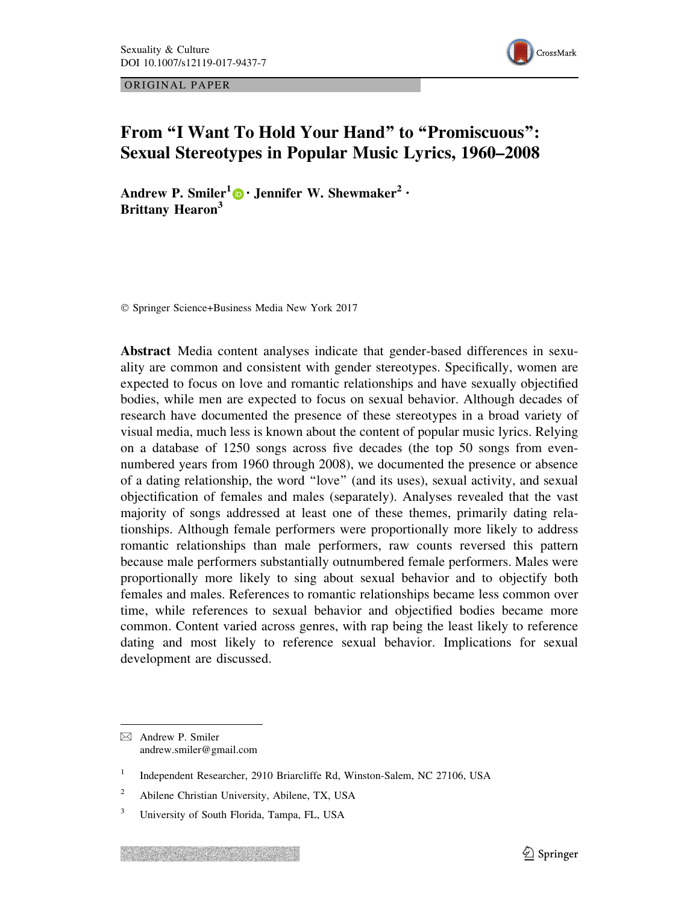ORIGINAL PAPER



# From "I Want To Hold Your Hand" to "Promiscuous": Sexual Stereotypes in Popular Music Lyrics, 1960–2008

Andrew P. Smiler<sup>1</sup> • Jennifer W. Shewmaker<sup>2</sup> • Brittany Hearon<sup>3</sup>

! Springer Science+Business Media New York 2017

Abstract Media content analyses indicate that gender-based differences in sexuality are common and consistent with gender stereotypes. Specifically, women are expected to focus on love and romantic relationships and have sexually objectified bodies, while men are expected to focus on sexual behavior. Although decades of research have documented the presence of these stereotypes in a broad variety of visual media, much less is known about the content of popular music lyrics. Relying on a database of 1250 songs across five decades (the top 50 songs from evennumbered years from 1960 through 2008), we documented the presence or absence of a dating relationship, the word ''love'' (and its uses), sexual activity, and sexual objectification of females and males (separately). Analyses revealed that the vast majority of songs addressed at least one of these themes, primarily dating relationships. Although female performers were proportionally more likely to address romantic relationships than male performers, raw counts reversed this pattern because male performers substantially outnumbered female performers. Males were proportionally more likely to sing about sexual behavior and to objectify both females and males. References to romantic relationships became less common over time, while references to sexual behavior and objectified bodies became more common. Content varied across genres, with rap being the least likely to reference dating and most likely to reference sexual behavior. Implications for sexual development are discussed.

 $\boxtimes$  Andrew P. Smiler andrew.smiler@gmail.com

<sup>&</sup>lt;sup>1</sup> Independent Researcher, 2910 Briarcliffe Rd, Winston-Salem, NC 27106, USA

<sup>2</sup> Abilene Christian University, Abilene, TX, USA

<sup>&</sup>lt;sup>3</sup> University of South Florida, Tampa, FL, USA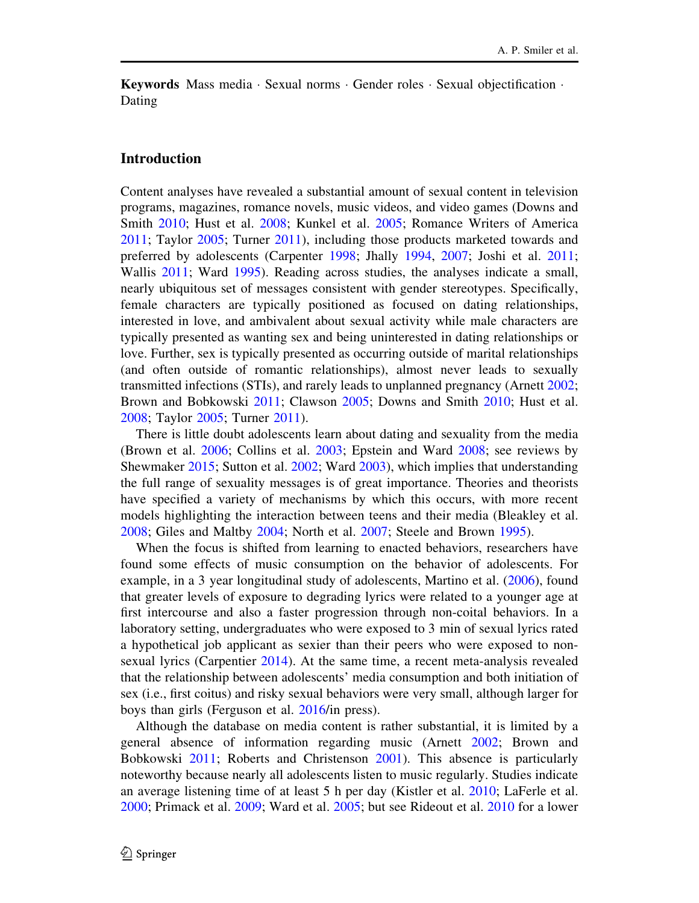**Keywords** Mass media  $\cdot$  Sexual norms  $\cdot$  Gender roles  $\cdot$  Sexual objectification  $\cdot$ Dating

## Introduction

Content analyses have revealed a substantial amount of sexual content in television programs, magazines, romance novels, music videos, and video games (Downs and Smith 2010; Hust et al. 2008; Kunkel et al. 2005; Romance Writers of America 2011; Taylor 2005; Turner 2011), including those products marketed towards and preferred by adolescents (Carpenter 1998; Jhally 1994, 2007; Joshi et al. 2011; Wallis 2011; Ward 1995). Reading across studies, the analyses indicate a small, nearly ubiquitous set of messages consistent with gender stereotypes. Specifically, female characters are typically positioned as focused on dating relationships, interested in love, and ambivalent about sexual activity while male characters are typically presented as wanting sex and being uninterested in dating relationships or love. Further, sex is typically presented as occurring outside of marital relationships (and often outside of romantic relationships), almost never leads to sexually transmitted infections (STIs), and rarely leads to unplanned pregnancy (Arnett 2002; Brown and Bobkowski 2011; Clawson 2005; Downs and Smith 2010; Hust et al. 2008; Taylor 2005; Turner 2011).

There is little doubt adolescents learn about dating and sexuality from the media (Brown et al. 2006; Collins et al. 2003; Epstein and Ward 2008; see reviews by Shewmaker 2015; Sutton et al. 2002; Ward 2003), which implies that understanding the full range of sexuality messages is of great importance. Theories and theorists have specified a variety of mechanisms by which this occurs, with more recent models highlighting the interaction between teens and their media (Bleakley et al. 2008; Giles and Maltby 2004; North et al. 2007; Steele and Brown 1995).

When the focus is shifted from learning to enacted behaviors, researchers have found some effects of music consumption on the behavior of adolescents. For example, in a 3 year longitudinal study of adolescents, Martino et al. (2006), found that greater levels of exposure to degrading lyrics were related to a younger age at first intercourse and also a faster progression through non-coital behaviors. In a laboratory setting, undergraduates who were exposed to 3 min of sexual lyrics rated a hypothetical job applicant as sexier than their peers who were exposed to nonsexual lyrics (Carpentier 2014). At the same time, a recent meta-analysis revealed that the relationship between adolescents' media consumption and both initiation of sex (i.e., first coitus) and risky sexual behaviors were very small, although larger for boys than girls (Ferguson et al. 2016/in press).

Although the database on media content is rather substantial, it is limited by a general absence of information regarding music (Arnett 2002; Brown and Bobkowski 2011; Roberts and Christenson 2001). This absence is particularly noteworthy because nearly all adolescents listen to music regularly. Studies indicate an average listening time of at least 5 h per day (Kistler et al. 2010; LaFerle et al. 2000; Primack et al. 2009; Ward et al. 2005; but see Rideout et al. 2010 for a lower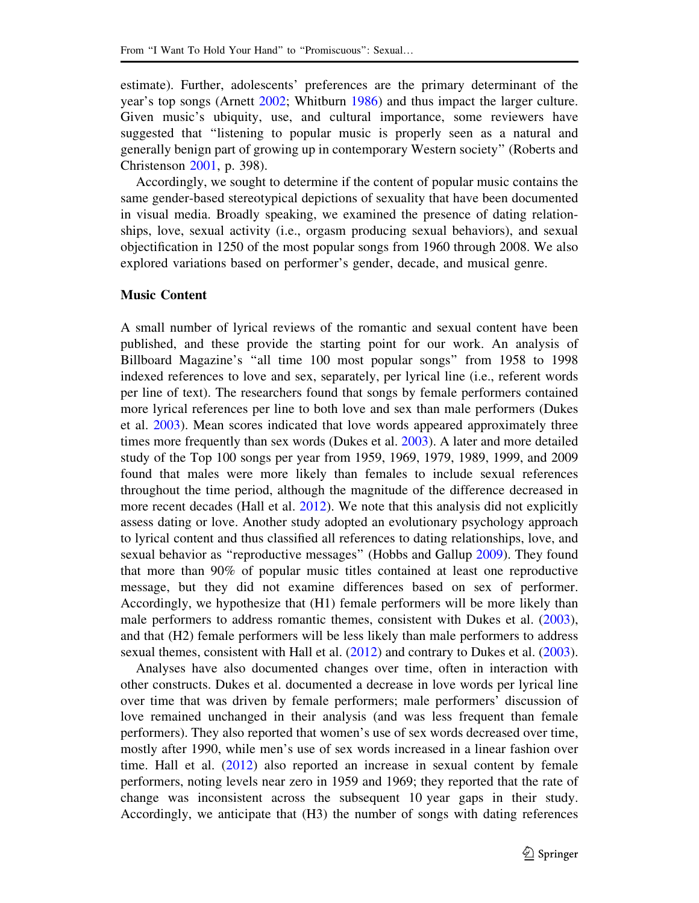estimate). Further, adolescents' preferences are the primary determinant of the year's top songs (Arnett 2002; Whitburn 1986) and thus impact the larger culture. Given music's ubiquity, use, and cultural importance, some reviewers have suggested that ''listening to popular music is properly seen as a natural and generally benign part of growing up in contemporary Western society'' (Roberts and Christenson 2001, p. 398).

Accordingly, we sought to determine if the content of popular music contains the same gender-based stereotypical depictions of sexuality that have been documented in visual media. Broadly speaking, we examined the presence of dating relationships, love, sexual activity (i.e., orgasm producing sexual behaviors), and sexual objectification in 1250 of the most popular songs from 1960 through 2008. We also explored variations based on performer's gender, decade, and musical genre.

## Music Content

A small number of lyrical reviews of the romantic and sexual content have been published, and these provide the starting point for our work. An analysis of Billboard Magazine's ''all time 100 most popular songs'' from 1958 to 1998 indexed references to love and sex, separately, per lyrical line (i.e., referent words per line of text). The researchers found that songs by female performers contained more lyrical references per line to both love and sex than male performers (Dukes et al. 2003). Mean scores indicated that love words appeared approximately three times more frequently than sex words (Dukes et al. 2003). A later and more detailed study of the Top 100 songs per year from 1959, 1969, 1979, 1989, 1999, and 2009 found that males were more likely than females to include sexual references throughout the time period, although the magnitude of the difference decreased in more recent decades (Hall et al. 2012). We note that this analysis did not explicitly assess dating or love. Another study adopted an evolutionary psychology approach to lyrical content and thus classified all references to dating relationships, love, and sexual behavior as "reproductive messages" (Hobbs and Gallup 2009). They found that more than 90% of popular music titles contained at least one reproductive message, but they did not examine differences based on sex of performer. Accordingly, we hypothesize that (H1) female performers will be more likely than male performers to address romantic themes, consistent with Dukes et al. (2003), and that (H2) female performers will be less likely than male performers to address sexual themes, consistent with Hall et al. (2012) and contrary to Dukes et al. (2003).

Analyses have also documented changes over time, often in interaction with other constructs. Dukes et al. documented a decrease in love words per lyrical line over time that was driven by female performers; male performers' discussion of love remained unchanged in their analysis (and was less frequent than female performers). They also reported that women's use of sex words decreased over time, mostly after 1990, while men's use of sex words increased in a linear fashion over time. Hall et al. (2012) also reported an increase in sexual content by female performers, noting levels near zero in 1959 and 1969; they reported that the rate of change was inconsistent across the subsequent 10 year gaps in their study. Accordingly, we anticipate that (H3) the number of songs with dating references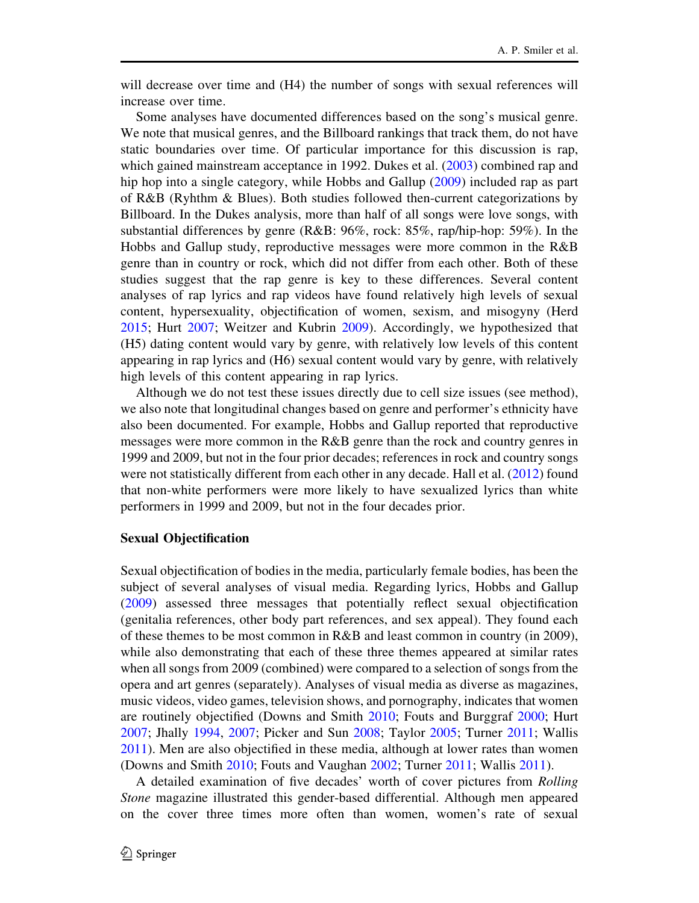will decrease over time and  $(H4)$  the number of songs with sexual references will increase over time.

Some analyses have documented differences based on the song's musical genre. We note that musical genres, and the Billboard rankings that track them, do not have static boundaries over time. Of particular importance for this discussion is rap, which gained mainstream acceptance in 1992. Dukes et al. (2003) combined rap and hip hop into a single category, while Hobbs and Gallup (2009) included rap as part of R&B (Ryhthm & Blues). Both studies followed then-current categorizations by Billboard. In the Dukes analysis, more than half of all songs were love songs, with substantial differences by genre (R&B: 96%, rock: 85%, rap/hip-hop: 59%). In the Hobbs and Gallup study, reproductive messages were more common in the R&B genre than in country or rock, which did not differ from each other. Both of these studies suggest that the rap genre is key to these differences. Several content analyses of rap lyrics and rap videos have found relatively high levels of sexual content, hypersexuality, objectification of women, sexism, and misogyny (Herd 2015; Hurt 2007; Weitzer and Kubrin 2009). Accordingly, we hypothesized that (H5) dating content would vary by genre, with relatively low levels of this content appearing in rap lyrics and (H6) sexual content would vary by genre, with relatively high levels of this content appearing in rap lyrics.

Although we do not test these issues directly due to cell size issues (see method), we also note that longitudinal changes based on genre and performer's ethnicity have also been documented. For example, Hobbs and Gallup reported that reproductive messages were more common in the R&B genre than the rock and country genres in 1999 and 2009, but not in the four prior decades; references in rock and country songs were not statistically different from each other in any decade. Hall et al. (2012) found that non-white performers were more likely to have sexualized lyrics than white performers in 1999 and 2009, but not in the four decades prior.

#### Sexual Objectification

Sexual objectification of bodies in the media, particularly female bodies, has been the subject of several analyses of visual media. Regarding lyrics, Hobbs and Gallup (2009) assessed three messages that potentially reflect sexual objectification (genitalia references, other body part references, and sex appeal). They found each of these themes to be most common in R&B and least common in country (in 2009), while also demonstrating that each of these three themes appeared at similar rates when all songs from 2009 (combined) were compared to a selection of songs from the opera and art genres (separately). Analyses of visual media as diverse as magazines, music videos, video games, television shows, and pornography, indicates that women are routinely objectified (Downs and Smith 2010; Fouts and Burggraf 2000; Hurt 2007; Jhally 1994, 2007; Picker and Sun 2008; Taylor 2005; Turner 2011; Wallis 2011). Men are also objectified in these media, although at lower rates than women (Downs and Smith 2010; Fouts and Vaughan 2002; Turner 2011; Wallis 2011).

A detailed examination of five decades' worth of cover pictures from Rolling Stone magazine illustrated this gender-based differential. Although men appeared on the cover three times more often than women, women's rate of sexual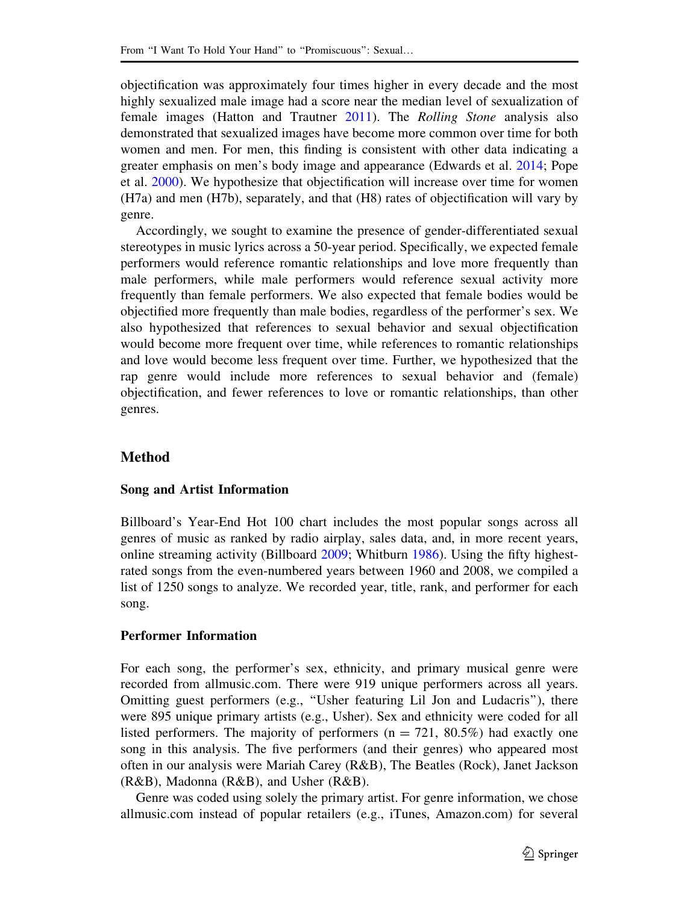objectification was approximately four times higher in every decade and the most highly sexualized male image had a score near the median level of sexualization of female images (Hatton and Trautner 2011). The Rolling Stone analysis also demonstrated that sexualized images have become more common over time for both women and men. For men, this finding is consistent with other data indicating a greater emphasis on men's body image and appearance (Edwards et al. 2014; Pope et al. 2000). We hypothesize that objectification will increase over time for women (H7a) and men (H7b), separately, and that (H8) rates of objectification will vary by genre.

Accordingly, we sought to examine the presence of gender-differentiated sexual stereotypes in music lyrics across a 50-year period. Specifically, we expected female performers would reference romantic relationships and love more frequently than male performers, while male performers would reference sexual activity more frequently than female performers. We also expected that female bodies would be objectified more frequently than male bodies, regardless of the performer's sex. We also hypothesized that references to sexual behavior and sexual objectification would become more frequent over time, while references to romantic relationships and love would become less frequent over time. Further, we hypothesized that the rap genre would include more references to sexual behavior and (female) objectification, and fewer references to love or romantic relationships, than other genres.

# Method

# Song and Artist Information

Billboard's Year-End Hot 100 chart includes the most popular songs across all genres of music as ranked by radio airplay, sales data, and, in more recent years, online streaming activity (Billboard 2009; Whitburn 1986). Using the fifty highestrated songs from the even-numbered years between 1960 and 2008, we compiled a list of 1250 songs to analyze. We recorded year, title, rank, and performer for each song.

# Performer Information

For each song, the performer's sex, ethnicity, and primary musical genre were recorded from allmusic.com. There were 919 unique performers across all years. Omitting guest performers (e.g., ''Usher featuring Lil Jon and Ludacris''), there were 895 unique primary artists (e.g., Usher). Sex and ethnicity were coded for all listed performers. The majority of performers ( $n = 721, 80.5\%$ ) had exactly one song in this analysis. The five performers (and their genres) who appeared most often in our analysis were Mariah Carey (R&B), The Beatles (Rock), Janet Jackson (R&B), Madonna (R&B), and Usher (R&B).

Genre was coded using solely the primary artist. For genre information, we chose allmusic.com instead of popular retailers (e.g., iTunes, Amazon.com) for several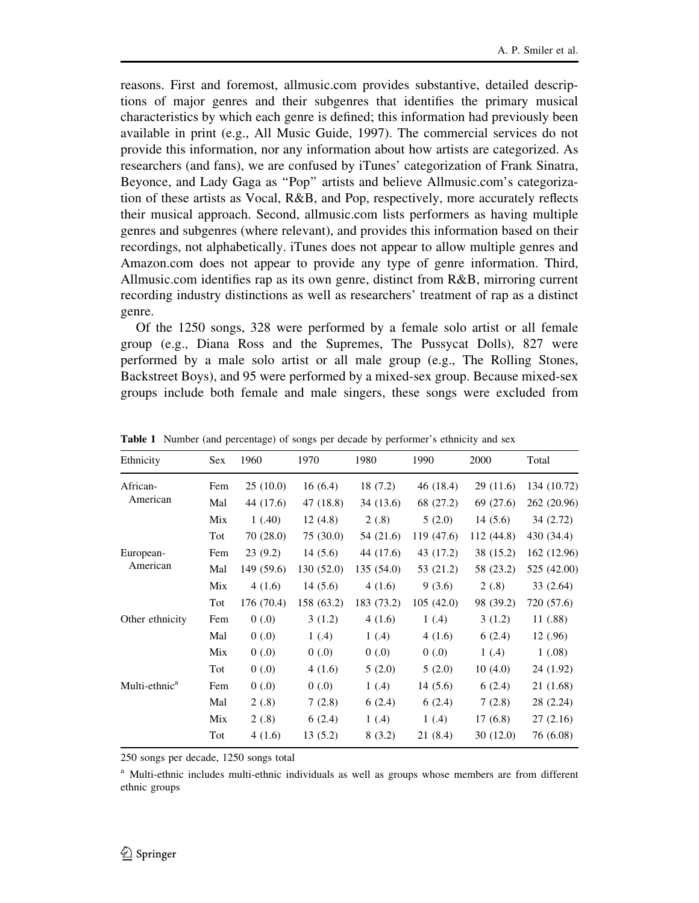reasons. First and foremost, allmusic.com provides substantive, detailed descriptions of major genres and their subgenres that identifies the primary musical characteristics by which each genre is defined; this information had previously been available in print (e.g., All Music Guide, 1997). The commercial services do not provide this information, nor any information about how artists are categorized. As researchers (and fans), we are confused by iTunes' categorization of Frank Sinatra, Beyonce, and Lady Gaga as ''Pop'' artists and believe Allmusic.com's categorization of these artists as Vocal, R&B, and Pop, respectively, more accurately reflects their musical approach. Second, allmusic.com lists performers as having multiple genres and subgenres (where relevant), and provides this information based on their recordings, not alphabetically. iTunes does not appear to allow multiple genres and Amazon.com does not appear to provide any type of genre information. Third, Allmusic.com identifies rap as its own genre, distinct from R&B, mirroring current recording industry distinctions as well as researchers' treatment of rap as a distinct genre.

Of the 1250 songs, 328 were performed by a female solo artist or all female group (e.g., Diana Ross and the Supremes, The Pussycat Dolls), 827 were performed by a male solo artist or all male group (e.g., The Rolling Stones, Backstreet Boys), and 95 were performed by a mixed-sex group. Because mixed-sex groups include both female and male singers, these songs were excluded from

| Ethnicity                 | <b>Sex</b> | 1960       | 1970       | 1980       | 1990       | 2000       | Total       |
|---------------------------|------------|------------|------------|------------|------------|------------|-------------|
| African-<br>American      | Fem        | 25(10.0)   | 16(6.4)    | 18 (7.2)   | 46 (18.4)  | 29 (11.6)  | 134 (10.72) |
|                           | Mal        | 44 (17.6)  | 47 (18.8)  | 34 (13.6)  | 68 (27.2)  | 69 (27.6)  | 262 (20.96) |
|                           | Mix        | 1(0.40)    | 12(4.8)    | 2(.8)      | 5(2.0)     | 14(5.6)    | 34 (2.72)   |
|                           | Tot        | 70 (28.0)  | 75 (30.0)  | 54 (21.6)  | 119 (47.6) | 112 (44.8) | 430 (34.4)  |
| European-                 | Fem        | 23(9.2)    | 14(5.6)    | 44 (17.6)  | 43 (17.2)  | 38 (15.2)  | 162 (12.96) |
| American                  | Mal        | 149 (59.6) | 130(52.0)  | 135(54.0)  | 53 (21.2)  | 58 (23.2)  | 525 (42.00) |
|                           | Mix        | 4(1.6)     | 14(5.6)    | 4(1.6)     | 9(3.6)     | 2(.8)      | 33 (2.64)   |
|                           | Tot        | 176 (70.4) | 158 (63.2) | 183 (73.2) | 105(42.0)  | 98 (39.2)  | 720 (57.6)  |
| Other ethnicity           | Fem        | 0(0.0)     | 3(1.2)     | 4(1.6)     | 1(0.4)     | 3(1.2)     | 11 (.88)    |
|                           | Mal        | 0(0.0)     | 1(4)       | 1(0.4)     | 4(1.6)     | 6(2.4)     | 12(0.96)    |
|                           | Mix        | 0(0.0)     | 0(0.0)     | 0(0.0)     | (0.0)      | 1(0.4)     | 1(.08)      |
|                           | Tot        | 0(0.0)     | 4(1.6)     | 5(2.0)     | 5(2.0)     | 10(4.0)    | 24 (1.92)   |
| Multi-ethnic <sup>a</sup> | Fem        | 0(0.0)     | 0(0.0)     | 1(0.4)     | 14(5.6)    | 6(2.4)     | 21 (1.68)   |
|                           | Mal        | 2(.8)      | 7(2.8)     | 6(2.4)     | 6(2.4)     | 7(2.8)     | 28 (2.24)   |
|                           | Mix        | 2(.8)      | 6(2.4)     | 1(4)       | 1(4)       | 17(6.8)    | 27(2.16)    |
|                           | Tot        | 4(1.6)     | 13(5.2)    | 8(3.2)     | 21 (8.4)   | 30(12.0)   | 76 (6.08)   |

Table 1 Number (and percentage) of songs per decade by performer's ethnicity and sex

250 songs per decade, 1250 songs total

<sup>a</sup> Multi-ethnic includes multi-ethnic individuals as well as groups whose members are from different ethnic groups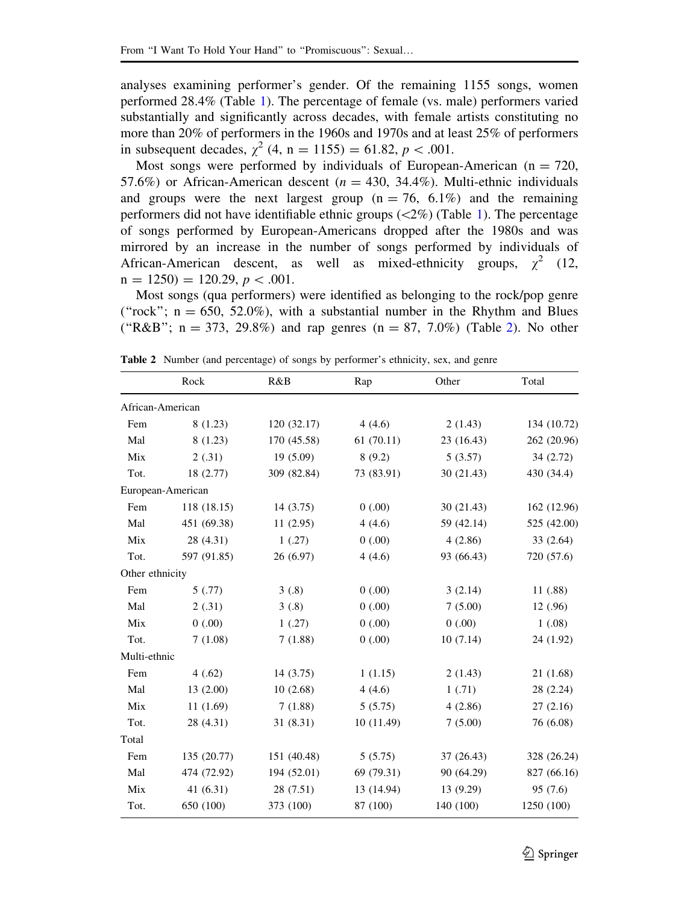analyses examining performer's gender. Of the remaining 1155 songs, women performed 28.4% (Table 1). The percentage of female (vs. male) performers varied substantially and significantly across decades, with female artists constituting no more than 20% of performers in the 1960s and 1970s and at least 25% of performers in subsequent decades,  $\chi^2$  (4, n = 1155) = 61.82, p < .001.

Most songs were performed by individuals of European-American ( $n = 720$ , 57.6%) or African-American descent ( $n = 430, 34.4%$ ). Multi-ethnic individuals and groups were the next largest group  $(n = 76, 6.1\%)$  and the remaining performers did not have identifiable ethnic groups  $(\langle 2\% \rangle)$  (Table 1). The percentage of songs performed by European-Americans dropped after the 1980s and was mirrored by an increase in the number of songs performed by individuals of African-American descent, as well as mixed-ethnicity groups,  $\chi^2$  (12,  $n = 1250$ ) = 120.29,  $p < .001$ .

Most songs (qua performers) were identified as belonging to the rock/pop genre ("rock";  $n = 650, 52.0\%$ ), with a substantial number in the Rhythm and Blues ("R&B";  $n = 373$ , 29.8%) and rap genres ( $n = 87, 7.0\%$ ) (Table 2). No other

|                  | Rock              | R&B         | Rap        | Other      | Total       |
|------------------|-------------------|-------------|------------|------------|-------------|
| African-American |                   |             |            |            |             |
| Fem              | 8(1.23)           | 120 (32.17) | 4(4.6)     | 2(1.43)    | 134 (10.72) |
| Mal              | 8(1.23)           | 170 (45.58) | 61(70.11)  | 23 (16.43) | 262 (20.96) |
| Mix              | 2(.31)            | 19 (5.09)   | 8(9.2)     | 5(3.57)    | 34(2.72)    |
| Tot.             | 18 (2.77)         | 309 (82.84) | 73 (83.91) | 30 (21.43) | 430 (34.4)  |
|                  | European-American |             |            |            |             |
| Fem              | 118 (18.15)       | 14(3.75)    | 0(.00)     | 30 (21.43) | 162 (12.96) |
| Mal              | 451 (69.38)       | 11(2.95)    | 4(4.6)     | 59 (42.14) | 525 (42.00) |
| Mix              | 28 (4.31)         | 1(.27)      | 0(.00)     | 4(2.86)    | 33(2.64)    |
| Tot.             | 597 (91.85)       | 26 (6.97)   | 4(4.6)     | 93 (66.43) | 720 (57.6)  |
| Other ethnicity  |                   |             |            |            |             |
| Fem              | 5(.77)            | 3(.8)       | 0(.00)     | 3(2.14)    | 11 (.88)    |
| Mal              | 2(.31)            | 3(.8)       | 0(.00)     | 7(5.00)    | 12 (.96)    |
| Mix              | 0(.00)            | 1(.27)      | 0(.00)     | 0(.00)     | 1(.08)      |
| Tot.             | 7(1.08)           | 7(1.88)     | 0(.00)     | 10(7.14)   | 24 (1.92)   |
| Multi-ethnic     |                   |             |            |            |             |
| Fem              | 4(.62)            | 14 (3.75)   | 1(1.15)    | 2(1.43)    | 21 (1.68)   |
| Mal              | 13(2.00)          | 10(2.68)    | 4(4.6)     | 1(.71)     | 28 (2.24)   |
| Mix              | 11(1.69)          | 7(1.88)     | 5(5.75)    | 4(2.86)    | 27(2.16)    |
| Tot.             | 28 (4.31)         | 31 (8.31)   | 10 (11.49) | 7(5.00)    | 76 (6.08)   |
| Total            |                   |             |            |            |             |
| Fem              | 135 (20.77)       | 151 (40.48) | 5(5.75)    | 37 (26.43) | 328 (26.24) |
| Mal              | 474 (72.92)       | 194 (52.01) | 69 (79.31) | 90 (64.29) | 827 (66.16) |
| Mix              | 41 $(6.31)$       | 28 (7.51)   | 13 (14.94) | 13 (9.29)  | 95 (7.6)    |
| Tot.             | 650 (100)         | 373 (100)   | 87 (100)   | 140 (100)  | 1250 (100)  |

Table 2 Number (and percentage) of songs by performer's ethnicity, sex, and genre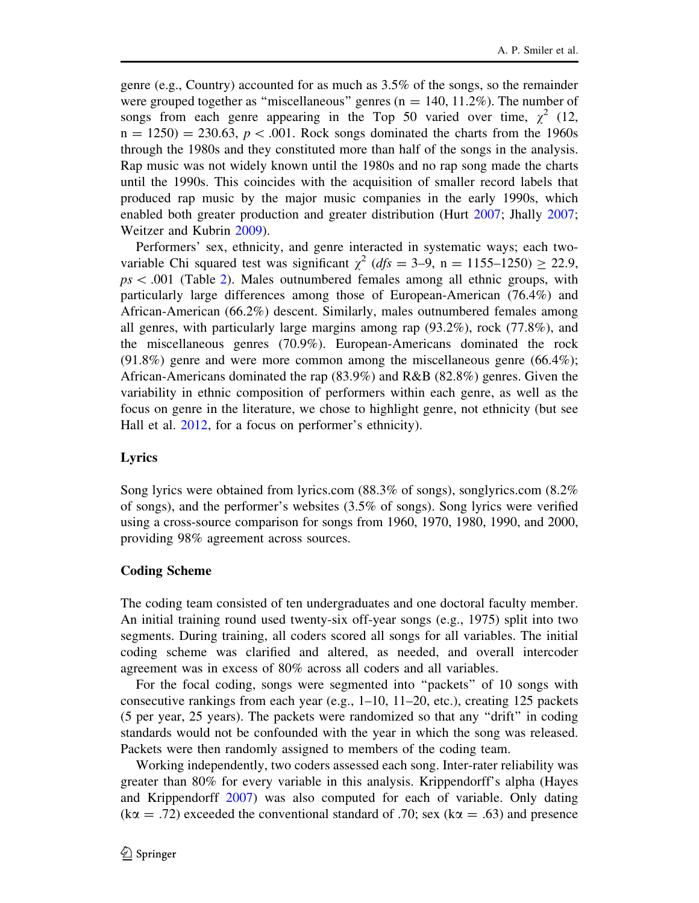genre (e.g., Country) accounted for as much as 3.5% of the songs, so the remainder were grouped together as "miscellaneous" genres ( $n = 140, 11.2\%$ ). The number of songs from each genre appearing in the Top 50 varied over time,  $\chi^2$  (12,  $n = 1250$  = 230.63,  $p < .001$ . Rock songs dominated the charts from the 1960s through the 1980s and they constituted more than half of the songs in the analysis. Rap music was not widely known until the 1980s and no rap song made the charts until the 1990s. This coincides with the acquisition of smaller record labels that produced rap music by the major music companies in the early 1990s, which enabled both greater production and greater distribution (Hurt 2007; Jhally 2007; Weitzer and Kubrin 2009).

Performers' sex, ethnicity, and genre interacted in systematic ways; each twovariable Chi squared test was significant  $\chi^2$  (dfs = 3–9, n = 1155–1250)  $\geq$  22.9,  $ps < .001$  (Table 2). Males outnumbered females among all ethnic groups, with particularly large differences among those of European-American (76.4%) and African-American (66.2%) descent. Similarly, males outnumbered females among all genres, with particularly large margins among rap (93.2%), rock (77.8%), and the miscellaneous genres (70.9%). European-Americans dominated the rock (91.8%) genre and were more common among the miscellaneous genre (66.4%); African-Americans dominated the rap (83.9%) and R&B (82.8%) genres. Given the variability in ethnic composition of performers within each genre, as well as the focus on genre in the literature, we chose to highlight genre, not ethnicity (but see Hall et al. 2012, for a focus on performer's ethnicity).

## Lyrics

Song lyrics were obtained from lyrics.com (88.3% of songs), songlyrics.com (8.2% of songs), and the performer's websites (3.5% of songs). Song lyrics were verified using a cross-source comparison for songs from 1960, 1970, 1980, 1990, and 2000, providing 98% agreement across sources.

## Coding Scheme

The coding team consisted of ten undergraduates and one doctoral faculty member. An initial training round used twenty-six off-year songs (e.g., 1975) split into two segments. During training, all coders scored all songs for all variables. The initial coding scheme was clarified and altered, as needed, and overall intercoder agreement was in excess of 80% across all coders and all variables.

For the focal coding, songs were segmented into ''packets'' of 10 songs with consecutive rankings from each year (e.g.,  $1-10$ ,  $11-20$ , etc.), creating 125 packets (5 per year, 25 years). The packets were randomized so that any ''drift'' in coding standards would not be confounded with the year in which the song was released. Packets were then randomly assigned to members of the coding team.

Working independently, two coders assessed each song. Inter-rater reliability was greater than 80% for every variable in this analysis. Krippendorff's alpha (Hayes and Krippendorff 2007) was also computed for each of variable. Only dating  $(k\alpha = .72)$  exceeded the conventional standard of .70; sex (k $\alpha = .63$ ) and presence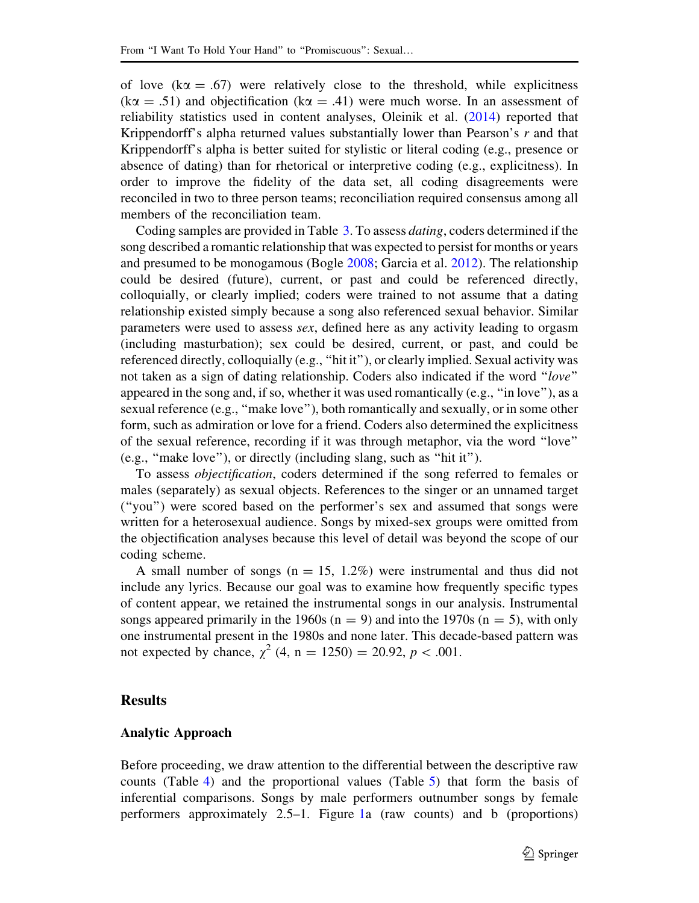of love  $(k\alpha = .67)$  were relatively close to the threshold, while explicitness  $(k\alpha = .51)$  and objectification  $(k\alpha = .41)$  were much worse. In an assessment of reliability statistics used in content analyses, Oleinik et al. (2014) reported that Krippendorff's alpha returned values substantially lower than Pearson's  $r$  and that Krippendorff's alpha is better suited for stylistic or literal coding (e.g., presence or absence of dating) than for rhetorical or interpretive coding (e.g., explicitness). In order to improve the fidelity of the data set, all coding disagreements were reconciled in two to three person teams; reconciliation required consensus among all members of the reconciliation team.

Coding samples are provided in Table 3. To assess dating, coders determined if the song described a romantic relationship that was expected to persist for months or years and presumed to be monogamous (Bogle 2008; Garcia et al. 2012). The relationship could be desired (future), current, or past and could be referenced directly, colloquially, or clearly implied; coders were trained to not assume that a dating relationship existed simply because a song also referenced sexual behavior. Similar parameters were used to assess sex, defined here as any activity leading to orgasm (including masturbation); sex could be desired, current, or past, and could be referenced directly, colloquially (e.g., "hit it"), or clearly implied. Sexual activity was not taken as a sign of dating relationship. Coders also indicated if the word ''love'' appeared in the song and, if so, whether it was used romantically  $(e.g., "in love")$ , as a sexual reference (e.g., ''make love''), both romantically and sexually, or in some other form, such as admiration or love for a friend. Coders also determined the explicitness of the sexual reference, recording if it was through metaphor, via the word ''love'' (e.g., ''make love''), or directly (including slang, such as ''hit it'').

To assess objectification, coders determined if the song referred to females or males (separately) as sexual objects. References to the singer or an unnamed target (''you'') were scored based on the performer's sex and assumed that songs were written for a heterosexual audience. Songs by mixed-sex groups were omitted from the objectification analyses because this level of detail was beyond the scope of our coding scheme.

A small number of songs ( $n = 15, 1.2\%$ ) were instrumental and thus did not include any lyrics. Because our goal was to examine how frequently specific types of content appear, we retained the instrumental songs in our analysis. Instrumental songs appeared primarily in the 1960s  $(n = 9)$  and into the 1970s  $(n = 5)$ , with only one instrumental present in the 1980s and none later. This decade-based pattern was not expected by chance,  $\chi^2$  (4, n = 1250) = 20.92, p < .001.

## **Results**

#### Analytic Approach

Before proceeding, we draw attention to the differential between the descriptive raw counts (Table 4) and the proportional values (Table 5) that form the basis of inferential comparisons. Songs by male performers outnumber songs by female performers approximately 2.5–1. Figure 1a (raw counts) and b (proportions)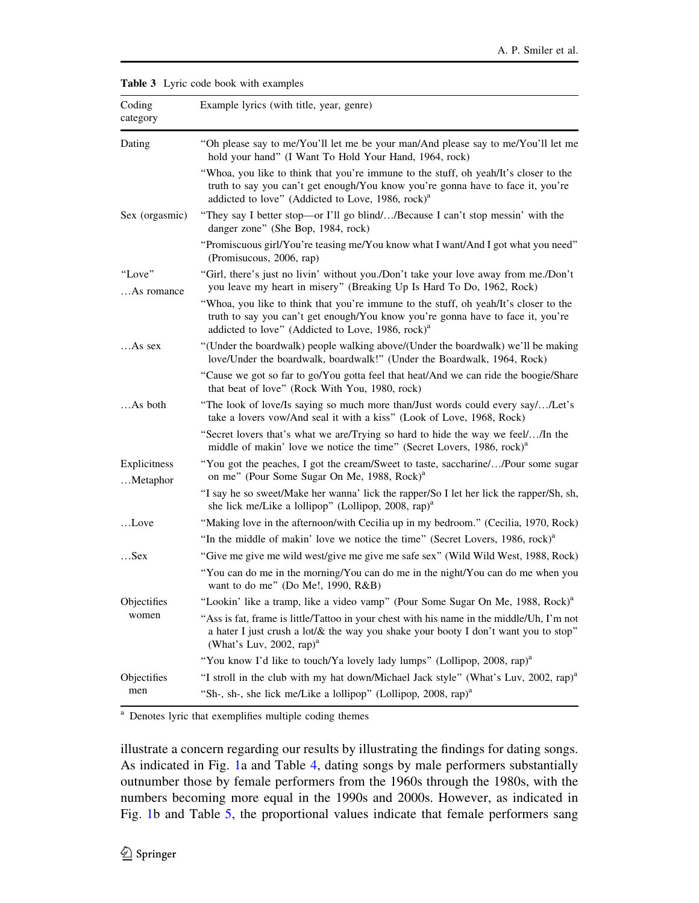| Coding<br>category       | Example lyrics (with title, year, genre)                                                                                                                                                                                                 |  |  |  |  |  |
|--------------------------|------------------------------------------------------------------------------------------------------------------------------------------------------------------------------------------------------------------------------------------|--|--|--|--|--|
| Dating                   | "Oh please say to me/You'll let me be your man/And please say to me/You'll let me<br>hold your hand" (I Want To Hold Your Hand, 1964, rock)                                                                                              |  |  |  |  |  |
|                          | "Whoa, you like to think that you're immune to the stuff, oh yeah/It's closer to the<br>truth to say you can't get enough/You know you're gonna have to face it, you're<br>addicted to love" (Addicted to Love, 1986, rock) <sup>a</sup> |  |  |  |  |  |
| Sex (orgasmic)           | "They say I better stop—or I'll go blind//Because I can't stop messin' with the<br>danger zone" (She Bop, 1984, rock)                                                                                                                    |  |  |  |  |  |
|                          | "Promiscuous girl/You're teasing me/You know what I want/And I got what you need"<br>(Promisucous, 2006, rap)                                                                                                                            |  |  |  |  |  |
| "Love"<br>As romance     | "Girl, there's just no livin' without you./Don't take your love away from me./Don't<br>you leave my heart in misery" (Breaking Up Is Hard To Do, 1962, Rock)                                                                             |  |  |  |  |  |
|                          | "Whoa, you like to think that you're immune to the stuff, oh yeah/It's closer to the<br>truth to say you can't get enough/You know you're gonna have to face it, you're<br>addicted to love" (Addicted to Love, 1986, rock) <sup>a</sup> |  |  |  |  |  |
| $$ As sex                | "(Under the boardwalk) people walking above/(Under the boardwalk) we'll be making<br>love/Under the boardwalk, boardwalk!" (Under the Boardwalk, 1964, Rock)                                                                             |  |  |  |  |  |
|                          | "Cause we got so far to go/You gotta feel that heat/And we can ride the boogie/Share<br>that beat of love" (Rock With You, 1980, rock)                                                                                                   |  |  |  |  |  |
| $$ As both               | "The look of love/Is saying so much more than/Just words could every say//Let's<br>take a lovers vow/And seal it with a kiss" (Look of Love, 1968, Rock)                                                                                 |  |  |  |  |  |
|                          | "Secret lovers that's what we are/Trying so hard to hide the way we feel//In the<br>middle of makin' love we notice the time" (Secret Lovers, 1986, rock) <sup>a</sup>                                                                   |  |  |  |  |  |
| Explicitness<br>Metaphor | "You got the peaches, I got the cream/Sweet to taste, saccharine//Pour some sugar<br>on me" (Pour Some Sugar On Me, 1988, Rock) <sup>a</sup>                                                                                             |  |  |  |  |  |
|                          | "I say he so sweet/Make her wanna' lick the rapper/So I let her lick the rapper/Sh, sh,<br>she lick me/Like a lollipop" (Lollipop, 2008, rap) <sup>a</sup>                                                                               |  |  |  |  |  |
| Love                     | "Making love in the afternoon/with Cecilia up in my bedroom." (Cecilia, 1970, Rock)                                                                                                                                                      |  |  |  |  |  |
|                          | "In the middle of makin' love we notice the time" (Secret Lovers, 1986, rock) <sup>a</sup>                                                                                                                                               |  |  |  |  |  |
| $$ Sex                   | "Give me give me wild west/give me give me safe sex" (Wild Wild West, 1988, Rock)                                                                                                                                                        |  |  |  |  |  |
|                          | "You can do me in the morning/You can do me in the night/You can do me when you<br>want to do me" (Do Me!, 1990, R&B)                                                                                                                    |  |  |  |  |  |
| Objectifies              | "Lookin' like a tramp, like a video vamp" (Pour Some Sugar On Me, 1988, Rock) <sup>a</sup>                                                                                                                                               |  |  |  |  |  |
| women                    | "Ass is fat, frame is little/Tattoo in your chest with his name in the middle/Uh, I'm not<br>a hater I just crush a lot/& the way you shake your booty I don't want you to stop"<br>(What's Luv, 2002, rap) <sup>a</sup>                 |  |  |  |  |  |
|                          | "You know I'd like to touch/Ya lovely lady lumps" (Lollipop, 2008, rap) <sup>a</sup>                                                                                                                                                     |  |  |  |  |  |
| Objectifies              | "I stroll in the club with my hat down/Michael Jack style" (What's Luv, 2002, rap) <sup>a</sup>                                                                                                                                          |  |  |  |  |  |
| men                      | "Sh-, sh-, she lick me/Like a lollipop" (Lollipop, 2008, rap) <sup>a</sup>                                                                                                                                                               |  |  |  |  |  |

Table 3 Lyric code book with examples

<sup>a</sup> Denotes lyric that exemplifies multiple coding themes

illustrate a concern regarding our results by illustrating the findings for dating songs. As indicated in Fig. 1a and Table 4, dating songs by male performers substantially outnumber those by female performers from the 1960s through the 1980s, with the numbers becoming more equal in the 1990s and 2000s. However, as indicated in Fig. 1b and Table 5, the proportional values indicate that female performers sang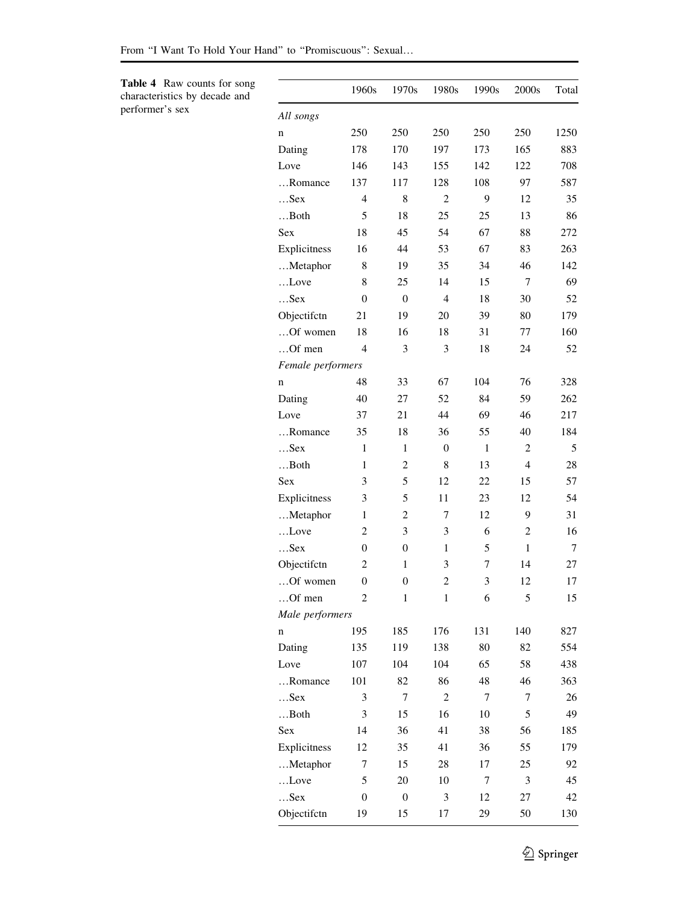Table 4 Raw counts for song characteristics by decade and performer's sex

|                   | 1960s            | 1970s            | 1980s                   | 1990s          | 2000s          | Total |
|-------------------|------------------|------------------|-------------------------|----------------|----------------|-------|
|                   |                  |                  |                         |                |                |       |
| All songs         |                  |                  |                         |                |                |       |
| n                 | 250              | 250              | 250                     | 250            | 250            | 1250  |
| Dating            | 178              | 170              | 197                     | 173            | 165            | 883   |
| Love              | 146              | 143              | 155                     | 142            | 122            | 708   |
| Romance           | 137              | 117              | 128                     | 108            | 97             | 587   |
| $$ Sex            | 4                | 8                | $\overline{c}$          | 9              | 12             | 35    |
| $$ Both           | 5                | 18               | 25                      | 25             | 13             | 86    |
| <b>Sex</b>        | 18               | 45               | 54                      | 67             | 88             | 272   |
| Explicitness      | 16               | 44               | 53                      | 67             | 83             | 263   |
| Metaphor          | 8                | 19               | 35                      | 34             | 46             | 142   |
| Love              | 8                | 25               | 14                      | 15             | 7              | 69    |
| $$ Sex            | $\mathbf{0}$     | $\mathbf{0}$     | 4                       | 18             | 30             | 52    |
| Objectifctn       | 21               | 19               | 20                      | 39             | 80             | 179   |
| Of women          | 18               | 16               | 18                      | 31             | 77             | 160   |
| Of men            | $\overline{4}$   | 3                | 3                       | 18             | 24             | 52    |
| Female performers |                  |                  |                         |                |                |       |
| n                 | 48               | 33               | 67                      | 104            | 76             | 328   |
| Dating            | 40               | 27               | 52                      | 84             | 59             | 262   |
| Love              | 37               | 21               | 44                      | 69             | 46             | 217   |
| Romance           | 35               | 18               | 36                      | 55             | 40             | 184   |
| $$ Sex            | $\mathbf{1}$     | $\mathbf{1}$     | $\mathbf{0}$            | $\mathbf{1}$   | $\overline{2}$ | 5     |
| $$ Both           | 1                | 2                | 8                       | 13             | $\overline{4}$ | 28    |
| <b>Sex</b>        | 3                | 5                | 12                      | 22             | 15             | 57    |
| Explicitness      | 3                | 5                | 11                      | 23             | 12             | 54    |
| Metaphor          | $\mathbf{1}$     | $\overline{2}$   | 7                       | 12             | 9              | 31    |
| Love              | $\overline{c}$   | 3                | 3                       | 6              | $\overline{2}$ | 16    |
| $$ Sex            | $\boldsymbol{0}$ | $\boldsymbol{0}$ | 1                       | 5              | 1              | 7     |
| Objectifctn       | $\overline{c}$   | $\mathbf{1}$     | 3                       | $\overline{7}$ | 14             | 27    |
| Of women          | $\boldsymbol{0}$ | $\boldsymbol{0}$ | $\overline{\mathbf{c}}$ | 3              | 12             | 17    |
| Of men            | 2                | 1                | $\mathbf{1}$            | 6              | 5              | 15    |
| Male performers   |                  |                  |                         |                |                |       |
| n                 | 195              | 185              | 176                     | 131            | 140            | 827   |
| Dating            | 135              | 119              | 138                     | 80             | 82             | 554   |
| Love              | 107              | 104              | 104                     | 65             | 58             | 438   |
| Romance           | 101              | 82               | 86                      | 48             | 46             | 363   |
| $$ Sex            | 3                | 7                | 2                       | 7              | 7              | 26    |
| Both              | 3                | 15               | 16                      | 10             | 5              | 49    |
| Sex               | 14               | 36               | 41                      | 38             | 56             | 185   |
| Explicitness      | 12               | 35               | 41                      | 36             | 55             | 179   |
| Metaphor          | 7                | 15               | 28                      | 17             | 25             | 92    |
| Love              | 5                | 20               | 10                      | 7              | 3              | 45    |
| $$ Sex            | $\boldsymbol{0}$ | $\boldsymbol{0}$ | 3                       | 12             | 27             | 42    |
| Objectifctn       | 19               | 15               | 17                      | 29             | 50             | 130   |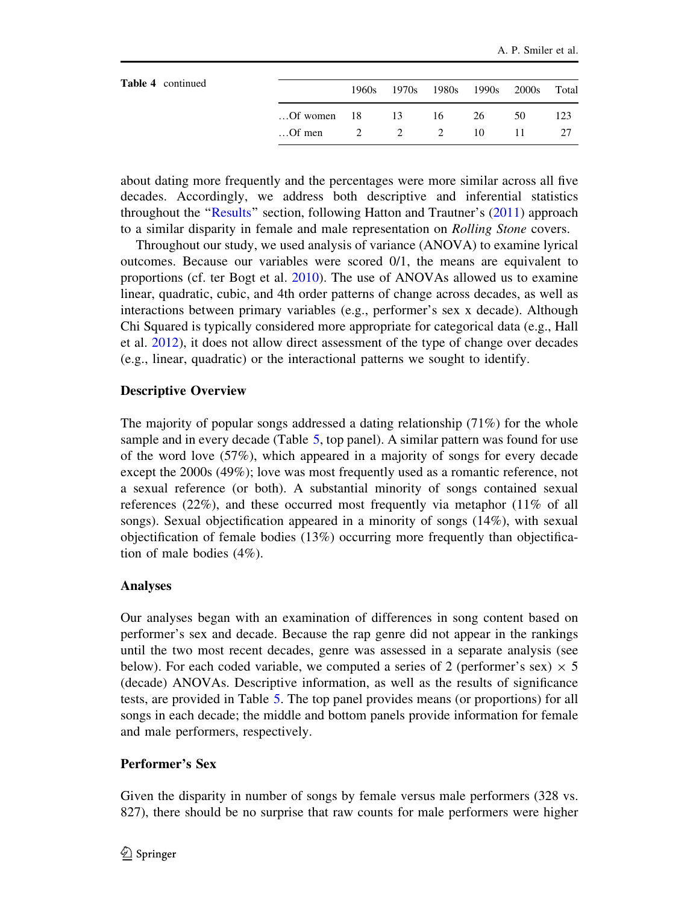| <b>Table 4</b> continued |                                  | 1960s | 1970s | 1980s 1990s 2000s |    | Total |
|--------------------------|----------------------------------|-------|-------|-------------------|----|-------|
|                          | Of women $18$ $13$ $16$ $26$     |       |       |                   | 50 | 123   |
|                          | Of men $2 \t 2 \t 2 \t 10 \t 11$ |       |       |                   |    | 27    |

about dating more frequently and the percentages were more similar across all five decades. Accordingly, we address both descriptive and inferential statistics throughout the ''Results'' section, following Hatton and Trautner's (2011) approach to a similar disparity in female and male representation on Rolling Stone covers.

Throughout our study, we used analysis of variance (ANOVA) to examine lyrical outcomes. Because our variables were scored 0/1, the means are equivalent to proportions (cf. ter Bogt et al. 2010). The use of ANOVAs allowed us to examine linear, quadratic, cubic, and 4th order patterns of change across decades, as well as interactions between primary variables (e.g., performer's sex x decade). Although Chi Squared is typically considered more appropriate for categorical data (e.g., Hall et al. 2012), it does not allow direct assessment of the type of change over decades (e.g., linear, quadratic) or the interactional patterns we sought to identify.

## Descriptive Overview

The majority of popular songs addressed a dating relationship  $(71\%)$  for the whole sample and in every decade (Table 5, top panel). A similar pattern was found for use of the word love (57%), which appeared in a majority of songs for every decade except the 2000s (49%); love was most frequently used as a romantic reference, not a sexual reference (or both). A substantial minority of songs contained sexual references (22%), and these occurred most frequently via metaphor (11% of all songs). Sexual objectification appeared in a minority of songs (14%), with sexual objectification of female bodies (13%) occurring more frequently than objectification of male bodies (4%).

# Analyses

Our analyses began with an examination of differences in song content based on performer's sex and decade. Because the rap genre did not appear in the rankings until the two most recent decades, genre was assessed in a separate analysis (see below). For each coded variable, we computed a series of 2 (performer's sex)  $\times$  5 (decade) ANOVAs. Descriptive information, as well as the results of significance tests, are provided in Table 5. The top panel provides means (or proportions) for all songs in each decade; the middle and bottom panels provide information for female and male performers, respectively.

# Performer's Sex

Given the disparity in number of songs by female versus male performers (328 vs. 827), there should be no surprise that raw counts for male performers were higher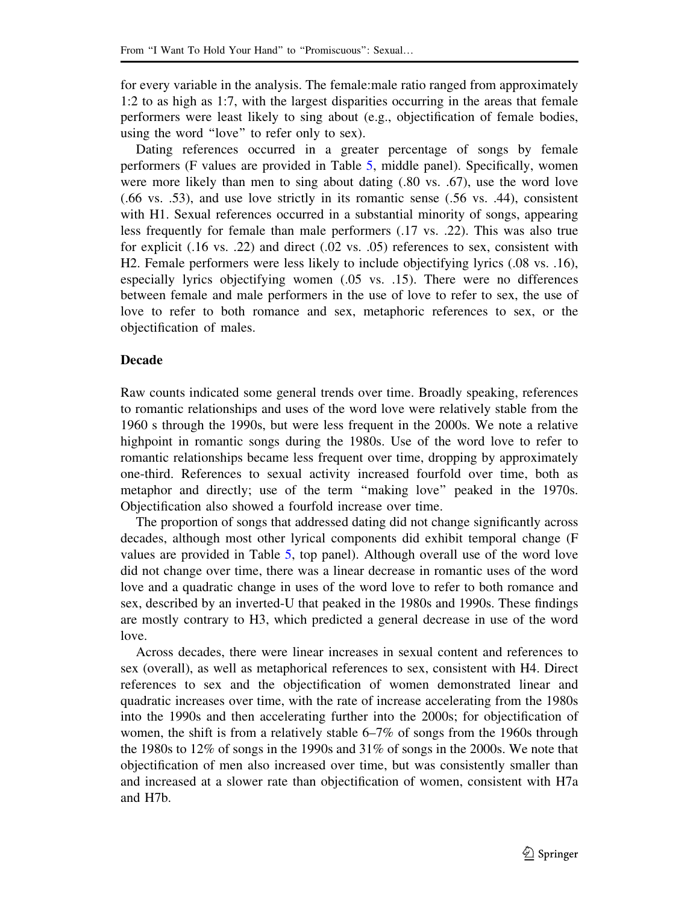for every variable in the analysis. The female:male ratio ranged from approximately 1:2 to as high as 1:7, with the largest disparities occurring in the areas that female performers were least likely to sing about (e.g., objectification of female bodies, using the word ''love'' to refer only to sex).

Dating references occurred in a greater percentage of songs by female performers (F values are provided in Table 5, middle panel). Specifically, women were more likely than men to sing about dating (.80 vs. .67), use the word love (.66 vs. .53), and use love strictly in its romantic sense (.56 vs. .44), consistent with H1. Sexual references occurred in a substantial minority of songs, appearing less frequently for female than male performers (.17 vs. .22). This was also true for explicit (.16 vs. .22) and direct (.02 vs. .05) references to sex, consistent with H2. Female performers were less likely to include objectifying lyrics (.08 vs. .16), especially lyrics objectifying women (.05 vs. .15). There were no differences between female and male performers in the use of love to refer to sex, the use of love to refer to both romance and sex, metaphoric references to sex, or the objectification of males.

#### Decade

Raw counts indicated some general trends over time. Broadly speaking, references to romantic relationships and uses of the word love were relatively stable from the 1960 s through the 1990s, but were less frequent in the 2000s. We note a relative highpoint in romantic songs during the 1980s. Use of the word love to refer to romantic relationships became less frequent over time, dropping by approximately one-third. References to sexual activity increased fourfold over time, both as metaphor and directly; use of the term "making love" peaked in the 1970s. Objectification also showed a fourfold increase over time.

The proportion of songs that addressed dating did not change significantly across decades, although most other lyrical components did exhibit temporal change (F values are provided in Table 5, top panel). Although overall use of the word love did not change over time, there was a linear decrease in romantic uses of the word love and a quadratic change in uses of the word love to refer to both romance and sex, described by an inverted-U that peaked in the 1980s and 1990s. These findings are mostly contrary to H3, which predicted a general decrease in use of the word love.

Across decades, there were linear increases in sexual content and references to sex (overall), as well as metaphorical references to sex, consistent with H4. Direct references to sex and the objectification of women demonstrated linear and quadratic increases over time, with the rate of increase accelerating from the 1980s into the 1990s and then accelerating further into the 2000s; for objectification of women, the shift is from a relatively stable 6–7% of songs from the 1960s through the 1980s to 12% of songs in the 1990s and 31% of songs in the 2000s. We note that objectification of men also increased over time, but was consistently smaller than and increased at a slower rate than objectification of women, consistent with H7a and H7b.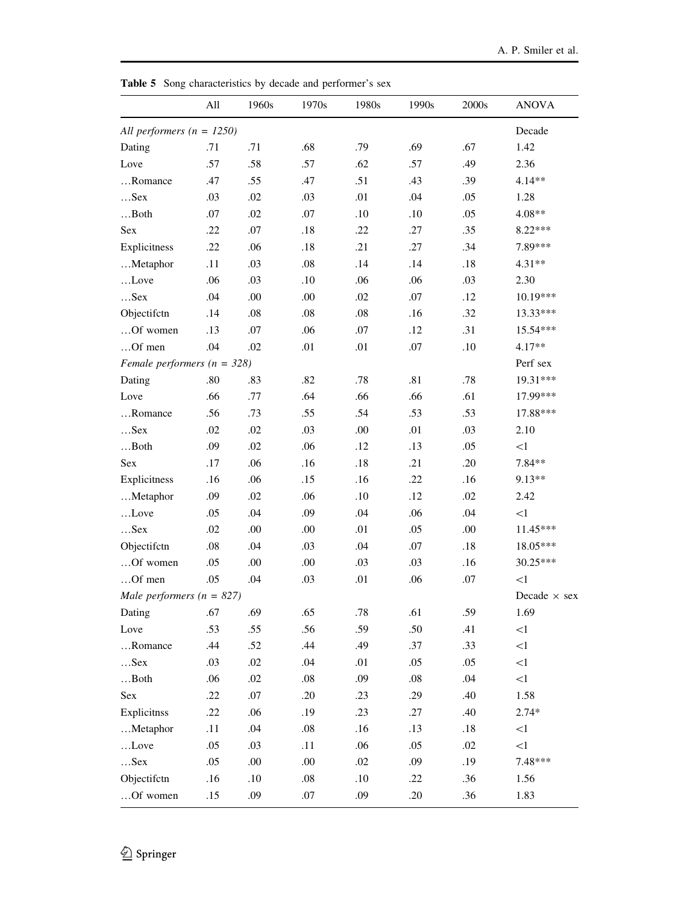|                                 | All     | 1960s   | 1970s   | 1980s   | 1990s | 2000s   | <b>ANOVA</b>        |
|---------------------------------|---------|---------|---------|---------|-------|---------|---------------------|
| All performers $(n = 1250)$     |         |         |         |         |       |         | Decade              |
| Dating                          | .71     | .71     | .68     | .79     | .69   | .67     | 1.42                |
| Love                            | .57     | .58     | .57     | .62     | .57   | .49     | 2.36                |
| Romance                         | .47     | .55     | .47     | .51     | .43   | .39     | 4.14**              |
| $$ Sex                          | .03     | .02     | .03     | .01     | .04   | .05     | 1.28                |
| $\ldots$ Both                   | .07     | .02     | .07     | $.10\,$ | .10   | .05     | $4.08**$            |
| Sex                             | .22     | .07     | .18     | .22     | .27   | .35     | 8.22***             |
| Explicitness                    | .22     | .06     | $.18$   | .21     | .27   | .34     | 7.89***             |
| Metaphor                        | .11     | .03     | .08     | .14     | .14   | $.18$   | $4.31**$            |
| Love                            | .06     | .03     | .10     | .06     | .06   | .03     | 2.30                |
| $$ Sex                          | .04     | .00     | .00     | $.02\,$ | $.07$ | .12     | 10.19***            |
| Objectifctn                     | .14     | $.08\,$ | $.08\,$ | $.08\,$ | .16   | .32     | 13.33***            |
| Of women                        | .13     | .07     | .06     | $.07$   | .12   | .31     | 15.54***            |
| Of men                          | .04     | .02     | .01     | $.01\,$ | .07   | .10     | $4.17**$            |
| Female performers ( $n = 328$ ) |         |         |         |         |       |         | Perf sex            |
| Dating                          | $.80\,$ | .83     | .82     | $.78\,$ | .81   | .78     | 19.31***            |
| Love                            | .66     | .77     | .64     | .66     | .66   | .61     | 17.99***            |
| Romance                         | .56     | .73     | .55     | .54     | .53   | .53     | 17.88***            |
| $$ Sex                          | .02     | .02     | .03     | $.00\,$ | .01   | .03     | 2.10                |
| $\ldots$ Both                   | .09     | .02     | .06     | .12     | .13   | .05     | $\leq$ 1            |
| Sex                             | $.17$   | .06     | .16     | .18     | .21   | .20     | 7.84**              |
| Explicitness                    | .16     | .06     | .15     | .16     | .22   | .16     | 9.13**              |
| Metaphor                        | .09     | .02     | .06     | $.10\,$ | .12   | .02     | 2.42                |
| Love                            | .05     | .04     | .09     | .04     | .06   | .04     | <1                  |
| $$ Sex                          | .02     | .00.    | .00     | $.01\,$ | .05   | .00     | 11.45***            |
| Objectifctn                     | $.08\,$ | .04     | .03     | .04     | .07   | $.18\,$ | 18.05***            |
| Of women                        | .05     | .00.    | .00     | .03     | .03   | .16     | 30.25***            |
| Of men                          | .05     | .04     | .03     | .01     | .06   | .07     | $\leq$ 1            |
| Male performers $(n = 827)$     |         |         |         |         |       |         | Decade $\times$ sex |
| Dating                          | .67     | .69     | .65     | .78     | .61   | .59     | 1.69                |
| Love                            | .53     | .55     | .56     | .59     | .50   | .41     | <1                  |
| Romance                         | .44     | .52     | .44     | .49     | .37   | .33     | $\leq$ 1            |
| $$ Sex                          | .03     | .02     | .04     | .01     | .05   | .05     | <1                  |
| $$ Both                         | .06     | .02     | .08     | .09     | .08   | .04     | $\leq$ 1            |
| Sex                             | .22     | $.07$   | .20     | .23     | .29   | .40     | 1.58                |
| Explicitnss                     | .22     | .06     | .19     | .23     | .27   | .40     | $2.74*$             |
| Metaphor                        | .11     | .04     | .08     | .16     | .13   | .18     | $\leq$ 1            |
| Love                            | .05     | .03     | .11     | .06     | .05   | .02     | $<\!\!1$            |
| $$ Sex                          | .05     | .00.    | .00.    | .02     | .09   | .19     | 7.48***             |
| Objectifctn                     | .16     | .10     | .08     | $.10\,$ | .22   | .36     | 1.56                |
| Of women                        | .15     | .09     | .07     | .09     | .20   | .36     | 1.83                |

Table 5 Song characteristics by decade and performer's sex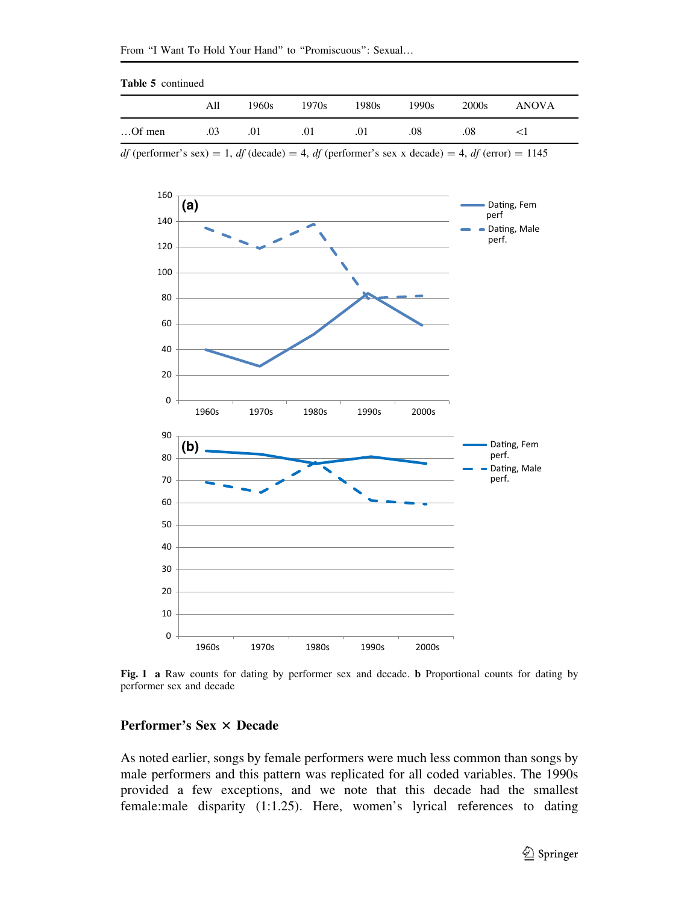

|           | All | 1960s | 1970s | 1980s | 1990s | 2000s | <b>ANOVA</b> |  |
|-----------|-----|-------|-------|-------|-------|-------|--------------|--|
| $$ Of men | .03 | .01   | .01   | .01   | .08   | .08   |              |  |

 $df$  (performer's sex) = 1,  $df$  (decade) = 4,  $df$  (performer's sex x decade) = 4,  $df$  (error) = 1145



Fig. 1 a Raw counts for dating by performer sex and decade. b Proportional counts for dating by performer sex and decade

### Performer's Sex  $\times$  Decade

As noted earlier, songs by female performers were much less common than songs by male performers and this pattern was replicated for all coded variables. The 1990s provided a few exceptions, and we note that this decade had the smallest female:male disparity (1:1.25). Here, women's lyrical references to dating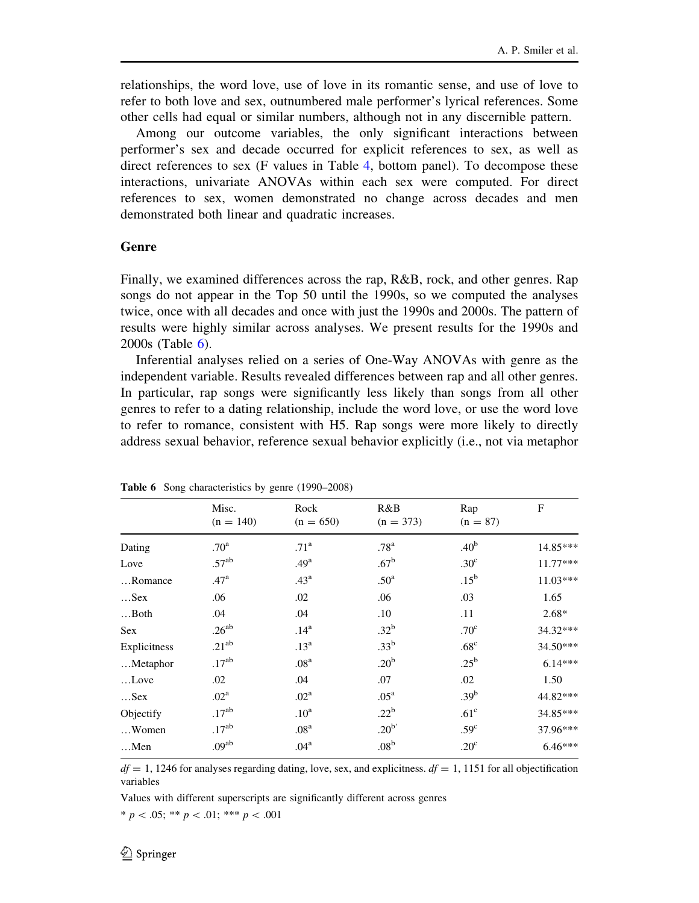relationships, the word love, use of love in its romantic sense, and use of love to refer to both love and sex, outnumbered male performer's lyrical references. Some other cells had equal or similar numbers, although not in any discernible pattern.

Among our outcome variables, the only significant interactions between performer's sex and decade occurred for explicit references to sex, as well as direct references to sex (F values in Table 4, bottom panel). To decompose these interactions, univariate ANOVAs within each sex were computed. For direct references to sex, women demonstrated no change across decades and men demonstrated both linear and quadratic increases.

#### Genre

Finally, we examined differences across the rap, R&B, rock, and other genres. Rap songs do not appear in the Top 50 until the 1990s, so we computed the analyses twice, once with all decades and once with just the 1990s and 2000s. The pattern of results were highly similar across analyses. We present results for the 1990s and 2000s (Table 6).

Inferential analyses relied on a series of One-Way ANOVAs with genre as the independent variable. Results revealed differences between rap and all other genres. In particular, rap songs were significantly less likely than songs from all other genres to refer to a dating relationship, include the word love, or use the word love to refer to romance, consistent with H5. Rap songs were more likely to directly address sexual behavior, reference sexual behavior explicitly (i.e., not via metaphor

|              | Misc.             | Rock             | R&B              | Rap              | $\mathbf{F}$ |
|--------------|-------------------|------------------|------------------|------------------|--------------|
|              | $(n = 140)$       | $(n = 650)$      | $(n = 373)$      | $(n = 87)$       |              |
| Dating       | .70 <sup>a</sup>  | .71 <sup>a</sup> | .78 <sup>a</sup> | .40 <sup>b</sup> | 14.85***     |
| Love         | .57 <sup>ab</sup> | .49 <sup>a</sup> | .67 <sup>b</sup> | .30 <sup>c</sup> | 11.77***     |
| Romance      | .47 <sup>a</sup>  | .43 <sup>a</sup> | .50 <sup>a</sup> | $.15^{\rm b}$    | $11.03***$   |
| $$ Sex       | .06               | .02              | .06              | .03              | 1.65         |
| $$ Both      | .04               | .04              | .10              | .11              | $2.68*$      |
| Sex          | .26 <sup>ab</sup> | .14 <sup>a</sup> | .32 <sup>b</sup> | .70 <sup>c</sup> | 34.32***     |
| Explicitness | .21 <sup>ab</sup> | .13 <sup>a</sup> | .33 <sup>b</sup> | .68 <sup>c</sup> | 34.50***     |
| Metaphor     | .17 <sup>ab</sup> | .08 <sup>a</sup> | .20 <sup>b</sup> | $.25^{\rm b}$    | $6.14***$    |
| Love         | .02               | .04              | .07              | .02              | 1.50         |
| $$ Sex       | .02 <sup>a</sup>  | .02 <sup>a</sup> | .05 <sup>a</sup> | .39 <sup>b</sup> | 44.82***     |
| Objectify    | .17 <sup>ab</sup> | .10 <sup>a</sup> | .22 <sup>b</sup> | .61 <sup>c</sup> | 34.85***     |
| Women        | .17 <sup>ab</sup> | .08 <sup>a</sup> | .20 <sup>b</sup> | .59 <sup>c</sup> | 37.96***     |
| $$ Men       | .09 <sup>ab</sup> | .04 <sup>a</sup> | .08 <sup>b</sup> | .20 <sup>c</sup> | $6.46***$    |

Table 6 Song characteristics by genre (1990–2008)

 $df = 1$ , 1246 for analyses regarding dating, love, sex, and explicitness.  $df = 1$ , 1151 for all objectification variables

Values with different superscripts are significantly different across genres

 $* p < .05; ** p < .01; ** * p < .001$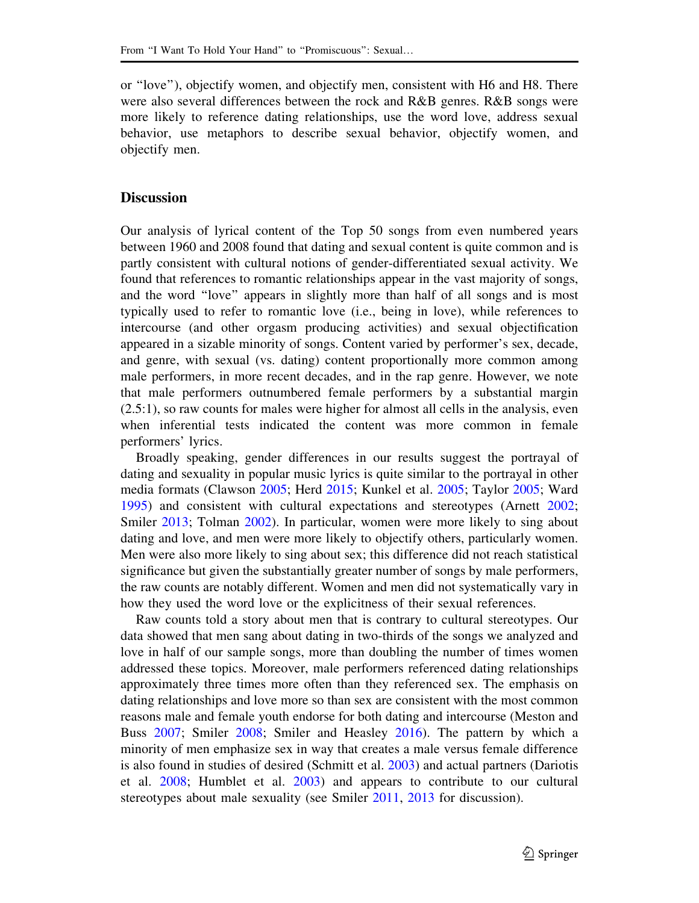or ''love''), objectify women, and objectify men, consistent with H6 and H8. There were also several differences between the rock and R&B genres. R&B songs were more likely to reference dating relationships, use the word love, address sexual behavior, use metaphors to describe sexual behavior, objectify women, and objectify men.

## **Discussion**

Our analysis of lyrical content of the Top 50 songs from even numbered years between 1960 and 2008 found that dating and sexual content is quite common and is partly consistent with cultural notions of gender-differentiated sexual activity. We found that references to romantic relationships appear in the vast majority of songs, and the word ''love'' appears in slightly more than half of all songs and is most typically used to refer to romantic love (i.e., being in love), while references to intercourse (and other orgasm producing activities) and sexual objectification appeared in a sizable minority of songs. Content varied by performer's sex, decade, and genre, with sexual (vs. dating) content proportionally more common among male performers, in more recent decades, and in the rap genre. However, we note that male performers outnumbered female performers by a substantial margin (2.5:1), so raw counts for males were higher for almost all cells in the analysis, even when inferential tests indicated the content was more common in female performers' lyrics.

Broadly speaking, gender differences in our results suggest the portrayal of dating and sexuality in popular music lyrics is quite similar to the portrayal in other media formats (Clawson 2005; Herd 2015; Kunkel et al. 2005; Taylor 2005; Ward 1995) and consistent with cultural expectations and stereotypes (Arnett 2002; Smiler 2013; Tolman 2002). In particular, women were more likely to sing about dating and love, and men were more likely to objectify others, particularly women. Men were also more likely to sing about sex; this difference did not reach statistical significance but given the substantially greater number of songs by male performers, the raw counts are notably different. Women and men did not systematically vary in how they used the word love or the explicitness of their sexual references.

Raw counts told a story about men that is contrary to cultural stereotypes. Our data showed that men sang about dating in two-thirds of the songs we analyzed and love in half of our sample songs, more than doubling the number of times women addressed these topics. Moreover, male performers referenced dating relationships approximately three times more often than they referenced sex. The emphasis on dating relationships and love more so than sex are consistent with the most common reasons male and female youth endorse for both dating and intercourse (Meston and Buss 2007; Smiler 2008; Smiler and Heasley 2016). The pattern by which a minority of men emphasize sex in way that creates a male versus female difference is also found in studies of desired (Schmitt et al. 2003) and actual partners (Dariotis et al. 2008; Humblet et al. 2003) and appears to contribute to our cultural stereotypes about male sexuality (see Smiler 2011, 2013 for discussion).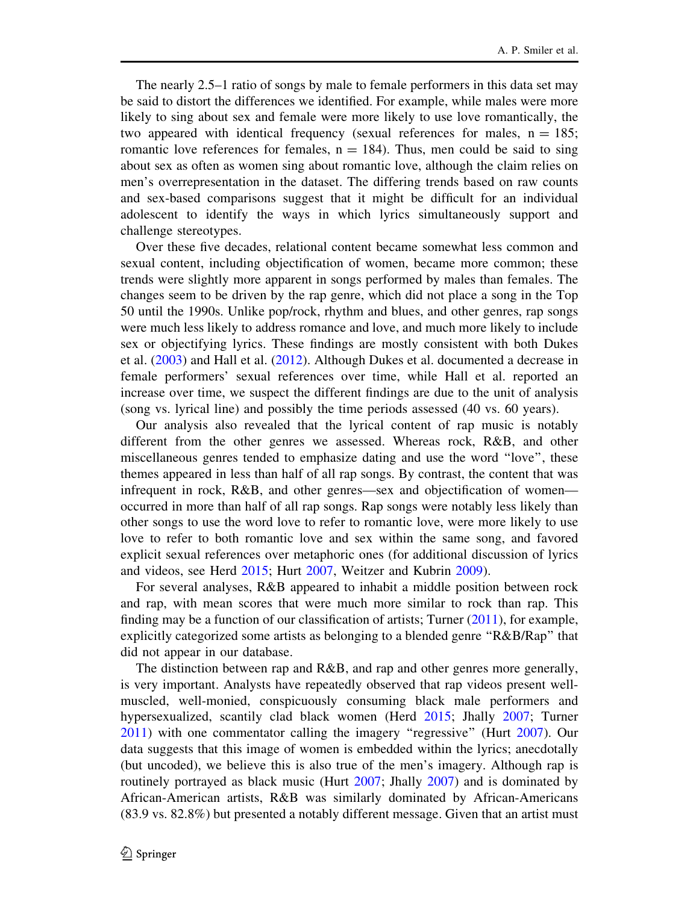The nearly 2.5–1 ratio of songs by male to female performers in this data set may be said to distort the differences we identified. For example, while males were more likely to sing about sex and female were more likely to use love romantically, the two appeared with identical frequency (sexual references for males,  $n = 185$ ; romantic love references for females,  $n = 184$ ). Thus, men could be said to sing about sex as often as women sing about romantic love, although the claim relies on men's overrepresentation in the dataset. The differing trends based on raw counts and sex-based comparisons suggest that it might be difficult for an individual adolescent to identify the ways in which lyrics simultaneously support and challenge stereotypes.

Over these five decades, relational content became somewhat less common and sexual content, including objectification of women, became more common; these trends were slightly more apparent in songs performed by males than females. The changes seem to be driven by the rap genre, which did not place a song in the Top 50 until the 1990s. Unlike pop/rock, rhythm and blues, and other genres, rap songs were much less likely to address romance and love, and much more likely to include sex or objectifying lyrics. These findings are mostly consistent with both Dukes et al. (2003) and Hall et al. (2012). Although Dukes et al. documented a decrease in female performers' sexual references over time, while Hall et al. reported an increase over time, we suspect the different findings are due to the unit of analysis (song vs. lyrical line) and possibly the time periods assessed (40 vs. 60 years).

Our analysis also revealed that the lyrical content of rap music is notably different from the other genres we assessed. Whereas rock, R&B, and other miscellaneous genres tended to emphasize dating and use the word ''love'', these themes appeared in less than half of all rap songs. By contrast, the content that was infrequent in rock, R&B, and other genres—sex and objectification of women occurred in more than half of all rap songs. Rap songs were notably less likely than other songs to use the word love to refer to romantic love, were more likely to use love to refer to both romantic love and sex within the same song, and favored explicit sexual references over metaphoric ones (for additional discussion of lyrics and videos, see Herd 2015; Hurt 2007, Weitzer and Kubrin 2009).

For several analyses, R&B appeared to inhabit a middle position between rock and rap, with mean scores that were much more similar to rock than rap. This finding may be a function of our classification of artists; Turner  $(2011)$ , for example, explicitly categorized some artists as belonging to a blended genre ''R&B/Rap'' that did not appear in our database.

The distinction between rap and R&B, and rap and other genres more generally, is very important. Analysts have repeatedly observed that rap videos present wellmuscled, well-monied, conspicuously consuming black male performers and hypersexualized, scantily clad black women (Herd 2015; Jhally 2007; Turner 2011) with one commentator calling the imagery ''regressive'' (Hurt 2007). Our data suggests that this image of women is embedded within the lyrics; anecdotally (but uncoded), we believe this is also true of the men's imagery. Although rap is routinely portrayed as black music (Hurt 2007; Jhally 2007) and is dominated by African-American artists, R&B was similarly dominated by African-Americans (83.9 vs. 82.8%) but presented a notably different message. Given that an artist must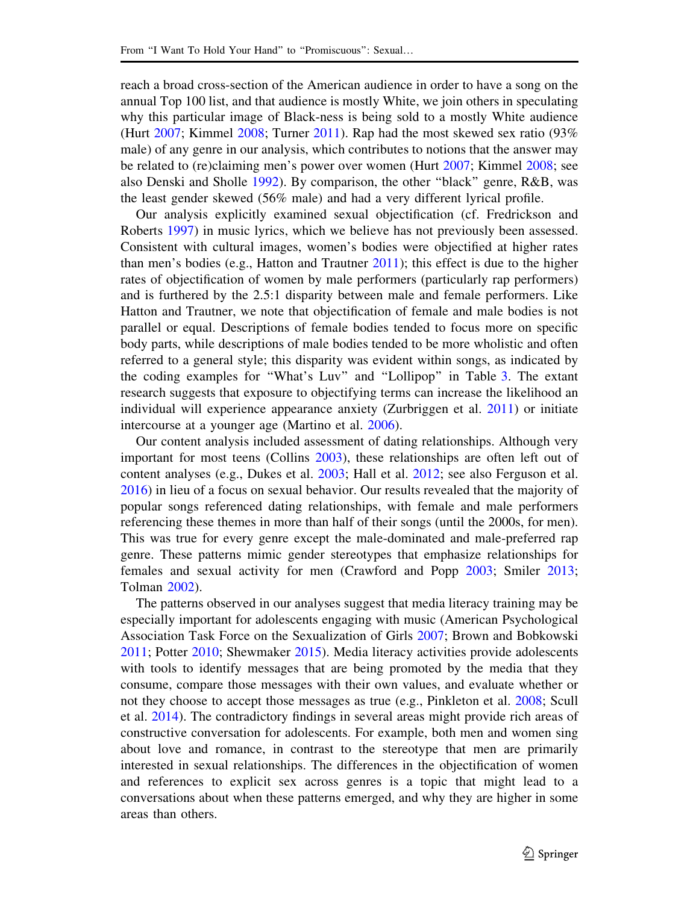reach a broad cross-section of the American audience in order to have a song on the annual Top 100 list, and that audience is mostly White, we join others in speculating why this particular image of Black-ness is being sold to a mostly White audience (Hurt 2007; Kimmel 2008; Turner 2011). Rap had the most skewed sex ratio (93% male) of any genre in our analysis, which contributes to notions that the answer may be related to (re)claiming men's power over women (Hurt 2007; Kimmel 2008; see also Denski and Sholle 1992). By comparison, the other ''black'' genre, R&B, was the least gender skewed (56% male) and had a very different lyrical profile.

Our analysis explicitly examined sexual objectification (cf. Fredrickson and Roberts 1997) in music lyrics, which we believe has not previously been assessed. Consistent with cultural images, women's bodies were objectified at higher rates than men's bodies (e.g., Hatton and Trautner 2011); this effect is due to the higher rates of objectification of women by male performers (particularly rap performers) and is furthered by the 2.5:1 disparity between male and female performers. Like Hatton and Trautner, we note that objectification of female and male bodies is not parallel or equal. Descriptions of female bodies tended to focus more on specific body parts, while descriptions of male bodies tended to be more wholistic and often referred to a general style; this disparity was evident within songs, as indicated by the coding examples for ''What's Luv'' and ''Lollipop'' in Table 3. The extant research suggests that exposure to objectifying terms can increase the likelihood an individual will experience appearance anxiety (Zurbriggen et al. 2011) or initiate intercourse at a younger age (Martino et al. 2006).

Our content analysis included assessment of dating relationships. Although very important for most teens (Collins 2003), these relationships are often left out of content analyses (e.g., Dukes et al. 2003; Hall et al. 2012; see also Ferguson et al. 2016) in lieu of a focus on sexual behavior. Our results revealed that the majority of popular songs referenced dating relationships, with female and male performers referencing these themes in more than half of their songs (until the 2000s, for men). This was true for every genre except the male-dominated and male-preferred rap genre. These patterns mimic gender stereotypes that emphasize relationships for females and sexual activity for men (Crawford and Popp 2003; Smiler 2013; Tolman 2002).

The patterns observed in our analyses suggest that media literacy training may be especially important for adolescents engaging with music (American Psychological Association Task Force on the Sexualization of Girls 2007; Brown and Bobkowski 2011; Potter 2010; Shewmaker 2015). Media literacy activities provide adolescents with tools to identify messages that are being promoted by the media that they consume, compare those messages with their own values, and evaluate whether or not they choose to accept those messages as true (e.g., Pinkleton et al. 2008; Scull et al. 2014). The contradictory findings in several areas might provide rich areas of constructive conversation for adolescents. For example, both men and women sing about love and romance, in contrast to the stereotype that men are primarily interested in sexual relationships. The differences in the objectification of women and references to explicit sex across genres is a topic that might lead to a conversations about when these patterns emerged, and why they are higher in some areas than others.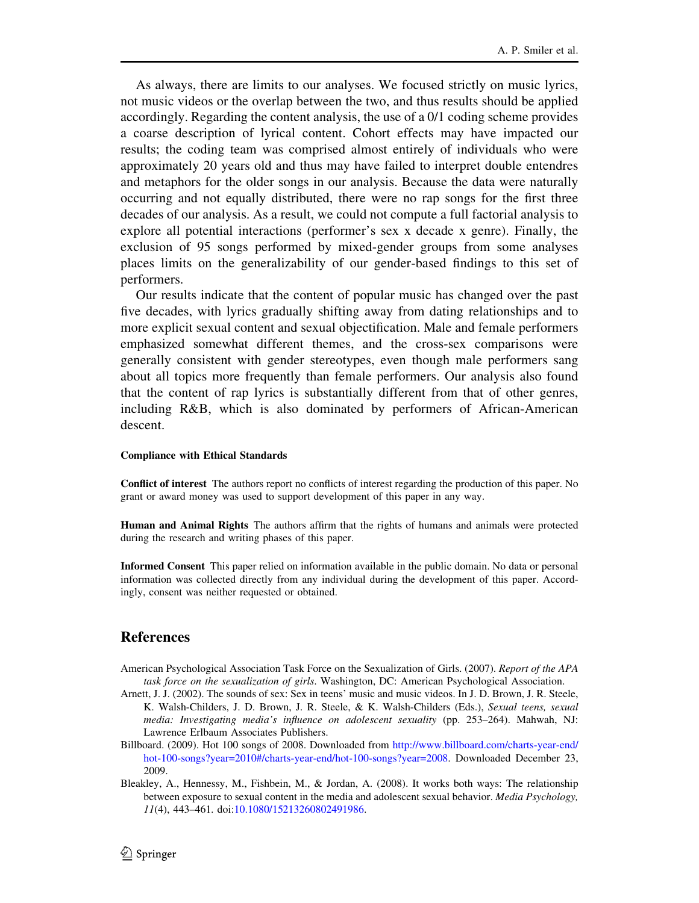As always, there are limits to our analyses. We focused strictly on music lyrics, not music videos or the overlap between the two, and thus results should be applied accordingly. Regarding the content analysis, the use of a 0/1 coding scheme provides a coarse description of lyrical content. Cohort effects may have impacted our results; the coding team was comprised almost entirely of individuals who were approximately 20 years old and thus may have failed to interpret double entendres and metaphors for the older songs in our analysis. Because the data were naturally occurring and not equally distributed, there were no rap songs for the first three decades of our analysis. As a result, we could not compute a full factorial analysis to explore all potential interactions (performer's sex x decade x genre). Finally, the exclusion of 95 songs performed by mixed-gender groups from some analyses places limits on the generalizability of our gender-based findings to this set of performers.

Our results indicate that the content of popular music has changed over the past five decades, with lyrics gradually shifting away from dating relationships and to more explicit sexual content and sexual objectification. Male and female performers emphasized somewhat different themes, and the cross-sex comparisons were generally consistent with gender stereotypes, even though male performers sang about all topics more frequently than female performers. Our analysis also found that the content of rap lyrics is substantially different from that of other genres, including R&B, which is also dominated by performers of African-American descent.

#### Compliance with Ethical Standards

Conflict of interest The authors report no conflicts of interest regarding the production of this paper. No grant or award money was used to support development of this paper in any way.

Human and Animal Rights The authors affirm that the rights of humans and animals were protected during the research and writing phases of this paper.

Informed Consent This paper relied on information available in the public domain. No data or personal information was collected directly from any individual during the development of this paper. Accordingly, consent was neither requested or obtained.

#### References

- American Psychological Association Task Force on the Sexualization of Girls. (2007). Report of the APA task force on the sexualization of girls. Washington, DC: American Psychological Association.
- Arnett, J. J. (2002). The sounds of sex: Sex in teens' music and music videos. In J. D. Brown, J. R. Steele, K. Walsh-Childers, J. D. Brown, J. R. Steele, & K. Walsh-Childers (Eds.), Sexual teens, sexual media: Investigating media's influence on adolescent sexuality (pp. 253–264). Mahwah, NJ: Lawrence Erlbaum Associates Publishers.
- Billboard. (2009). Hot 100 songs of 2008. Downloaded from http://www.billboard.com/charts-year-end/ hot-100-songs?year=2010#/charts-year-end/hot-100-songs?year=2008. Downloaded December 23, 2009.
- Bleakley, A., Hennessy, M., Fishbein, M., & Jordan, A. (2008). It works both ways: The relationship between exposure to sexual content in the media and adolescent sexual behavior. Media Psychology, 11(4), 443–461. doi:10.1080/15213260802491986.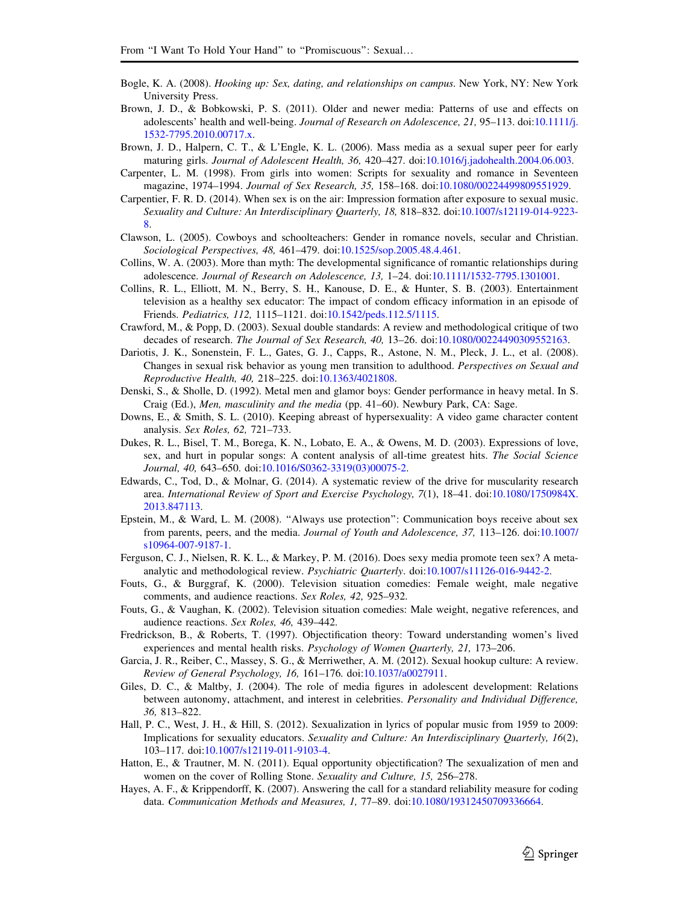- Bogle, K. A. (2008). Hooking up: Sex, dating, and relationships on campus. New York, NY: New York University Press.
- Brown, J. D., & Bobkowski, P. S. (2011). Older and newer media: Patterns of use and effects on adolescents' health and well-being. Journal of Research on Adolescence, 21, 95–113. doi:10.1111/j. 1532-7795.2010.00717.x.
- Brown, J. D., Halpern, C. T., & L'Engle, K. L. (2006). Mass media as a sexual super peer for early maturing girls. Journal of Adolescent Health, 36, 420–427. doi:10.1016/j.jadohealth.2004.06.003.
- Carpenter, L. M. (1998). From girls into women: Scripts for sexuality and romance in Seventeen magazine, 1974–1994. Journal of Sex Research, 35, 158–168. doi:10.1080/00224499809551929.
- Carpentier, F. R. D. (2014). When sex is on the air: Impression formation after exposure to sexual music. Sexuality and Culture: An Interdisciplinary Quarterly, 18, 818–832. doi:10.1007/s12119-014-9223- 8.
- Clawson, L. (2005). Cowboys and schoolteachers: Gender in romance novels, secular and Christian. Sociological Perspectives, 48, 461–479. doi:10.1525/sop.2005.48.4.461.
- Collins, W. A. (2003). More than myth: The developmental significance of romantic relationships during adolescence. Journal of Research on Adolescence, 13, 1–24. doi:10.1111/1532-7795.1301001.
- Collins, R. L., Elliott, M. N., Berry, S. H., Kanouse, D. E., & Hunter, S. B. (2003). Entertainment television as a healthy sex educator: The impact of condom efficacy information in an episode of Friends. Pediatrics, 112, 1115–1121. doi:10.1542/peds.112.5/1115.
- Crawford, M., & Popp, D. (2003). Sexual double standards: A review and methodological critique of two decades of research. The Journal of Sex Research, 40, 13–26. doi:10.1080/00224490309552163.
- Dariotis, J. K., Sonenstein, F. L., Gates, G. J., Capps, R., Astone, N. M., Pleck, J. L., et al. (2008). Changes in sexual risk behavior as young men transition to adulthood. Perspectives on Sexual and Reproductive Health, 40, 218–225. doi:10.1363/4021808.
- Denski, S., & Sholle, D. (1992). Metal men and glamor boys: Gender performance in heavy metal. In S. Craig (Ed.), Men, masculinity and the media (pp. 41–60). Newbury Park, CA: Sage.
- Downs, E., & Smith, S. L. (2010). Keeping abreast of hypersexuality: A video game character content analysis. Sex Roles, 62, 721–733.
- Dukes, R. L., Bisel, T. M., Borega, K. N., Lobato, E. A., & Owens, M. D. (2003). Expressions of love, sex, and hurt in popular songs: A content analysis of all-time greatest hits. The Social Science Journal, 40, 643–650. doi:10.1016/S0362-3319(03)00075-2.
- Edwards, C., Tod, D., & Molnar, G. (2014). A systematic review of the drive for muscularity research area. International Review of Sport and Exercise Psychology, 7(1), 18–41. doi:10.1080/1750984X. 2013.847113.
- Epstein, M., & Ward, L. M. (2008). ''Always use protection'': Communication boys receive about sex from parents, peers, and the media. Journal of Youth and Adolescence, 37, 113–126. doi:10.1007/ s10964-007-9187-1.
- Ferguson, C. J., Nielsen, R. K. L., & Markey, P. M. (2016). Does sexy media promote teen sex? A metaanalytic and methodological review. Psychiatric Quarterly. doi:10.1007/s11126-016-9442-2.
- Fouts, G., & Burggraf, K. (2000). Television situation comedies: Female weight, male negative comments, and audience reactions. Sex Roles, 42, 925–932.
- Fouts, G., & Vaughan, K. (2002). Television situation comedies: Male weight, negative references, and audience reactions. Sex Roles, 46, 439–442.
- Fredrickson, B., & Roberts, T. (1997). Objectification theory: Toward understanding women's lived experiences and mental health risks. Psychology of Women Quarterly, 21, 173–206.
- Garcia, J. R., Reiber, C., Massey, S. G., & Merriwether, A. M. (2012). Sexual hookup culture: A review. Review of General Psychology, 16, 161–176. doi:10.1037/a0027911.
- Giles, D. C., & Maltby, J. (2004). The role of media figures in adolescent development: Relations between autonomy, attachment, and interest in celebrities. Personality and Individual Difference, 36, 813–822.
- Hall, P. C., West, J. H., & Hill, S. (2012). Sexualization in lyrics of popular music from 1959 to 2009: Implications for sexuality educators. Sexuality and Culture: An Interdisciplinary Quarterly, 16(2), 103–117. doi:10.1007/s12119-011-9103-4.
- Hatton, E., & Trautner, M. N. (2011). Equal opportunity objectification? The sexualization of men and women on the cover of Rolling Stone. Sexuality and Culture, 15, 256–278.
- Hayes, A. F., & Krippendorff, K. (2007). Answering the call for a standard reliability measure for coding data. Communication Methods and Measures, 1, 77–89. doi:10.1080/19312450709336664.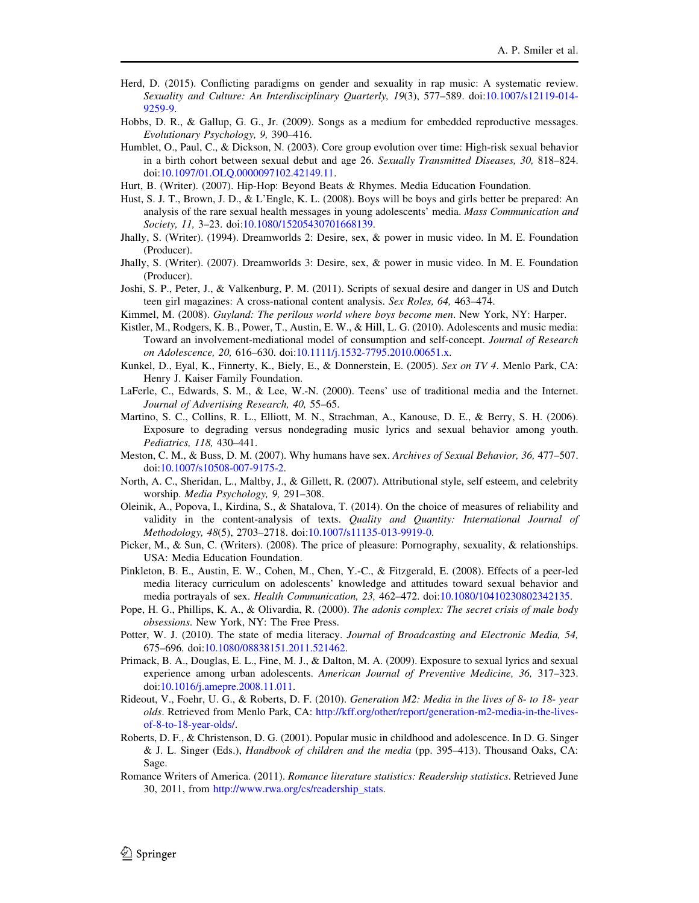- Herd, D. (2015). Conflicting paradigms on gender and sexuality in rap music: A systematic review. Sexuality and Culture: An Interdisciplinary Quarterly, 19(3), 577–589. doi:10.1007/s12119-014- 9259-9.
- Hobbs, D. R., & Gallup, G. G., Jr. (2009). Songs as a medium for embedded reproductive messages. Evolutionary Psychology, 9, 390–416.
- Humblet, O., Paul, C., & Dickson, N. (2003). Core group evolution over time: High-risk sexual behavior in a birth cohort between sexual debut and age 26. Sexually Transmitted Diseases, 30, 818–824. doi:10.1097/01.OLQ.0000097102.42149.11.
- Hurt, B. (Writer). (2007). Hip-Hop: Beyond Beats & Rhymes. Media Education Foundation.
- Hust, S. J. T., Brown, J. D., & L'Engle, K. L. (2008). Boys will be boys and girls better be prepared: An analysis of the rare sexual health messages in young adolescents' media. Mass Communication and Society, 11, 3–23. doi:10.1080/15205430701668139.
- Jhally, S. (Writer). (1994). Dreamworlds 2: Desire, sex, & power in music video. In M. E. Foundation (Producer).
- Jhally, S. (Writer). (2007). Dreamworlds 3: Desire, sex, & power in music video. In M. E. Foundation (Producer).
- Joshi, S. P., Peter, J., & Valkenburg, P. M. (2011). Scripts of sexual desire and danger in US and Dutch teen girl magazines: A cross-national content analysis. Sex Roles, 64, 463–474.
- Kimmel, M. (2008). Guyland: The perilous world where boys become men. New York, NY: Harper.
- Kistler, M., Rodgers, K. B., Power, T., Austin, E. W., & Hill, L. G. (2010). Adolescents and music media: Toward an involvement-mediational model of consumption and self-concept. Journal of Research on Adolescence, 20, 616–630. doi:10.1111/j.1532-7795.2010.00651.x.
- Kunkel, D., Eyal, K., Finnerty, K., Biely, E., & Donnerstein, E. (2005). Sex on TV 4. Menlo Park, CA: Henry J. Kaiser Family Foundation.
- LaFerle, C., Edwards, S. M., & Lee, W.-N. (2000). Teens' use of traditional media and the Internet. Journal of Advertising Research, 40, 55–65.
- Martino, S. C., Collins, R. L., Elliott, M. N., Strachman, A., Kanouse, D. E., & Berry, S. H. (2006). Exposure to degrading versus nondegrading music lyrics and sexual behavior among youth. Pediatrics, 118, 430–441.
- Meston, C. M., & Buss, D. M. (2007). Why humans have sex. Archives of Sexual Behavior, 36, 477–507. doi:10.1007/s10508-007-9175-2.
- North, A. C., Sheridan, L., Maltby, J., & Gillett, R. (2007). Attributional style, self esteem, and celebrity worship. Media Psychology, 9, 291–308.
- Oleinik, A., Popova, I., Kirdina, S., & Shatalova, T. (2014). On the choice of measures of reliability and validity in the content-analysis of texts. Quality and Quantity: International Journal of Methodology, 48(5), 2703–2718. doi:10.1007/s11135-013-9919-0.
- Picker, M., & Sun, C. (Writers). (2008). The price of pleasure: Pornography, sexuality, & relationships. USA: Media Education Foundation.
- Pinkleton, B. E., Austin, E. W., Cohen, M., Chen, Y.-C., & Fitzgerald, E. (2008). Effects of a peer-led media literacy curriculum on adolescents' knowledge and attitudes toward sexual behavior and media portrayals of sex. Health Communication, 23, 462–472. doi:10.1080/10410230802342135.
- Pope, H. G., Phillips, K. A., & Olivardia, R. (2000). The adonis complex: The secret crisis of male body obsessions. New York, NY: The Free Press.
- Potter, W. J. (2010). The state of media literacy. Journal of Broadcasting and Electronic Media, 54, 675–696. doi:10.1080/08838151.2011.521462.
- Primack, B. A., Douglas, E. L., Fine, M. J., & Dalton, M. A. (2009). Exposure to sexual lyrics and sexual experience among urban adolescents. American Journal of Preventive Medicine, 36, 317–323. doi:10.1016/j.amepre.2008.11.011.
- Rideout, V., Foehr, U. G., & Roberts, D. F. (2010). Generation M2: Media in the lives of 8- to 18- year olds. Retrieved from Menlo Park, CA: http://kff.org/other/report/generation-m2-media-in-the-livesof-8-to-18-year-olds/.
- Roberts, D. F., & Christenson, D. G. (2001). Popular music in childhood and adolescence. In D. G. Singer & J. L. Singer (Eds.), Handbook of children and the media (pp. 395–413). Thousand Oaks, CA: Sage.
- Romance Writers of America. (2011). Romance literature statistics: Readership statistics. Retrieved June 30, 2011, from http://www.rwa.org/cs/readership\_stats.